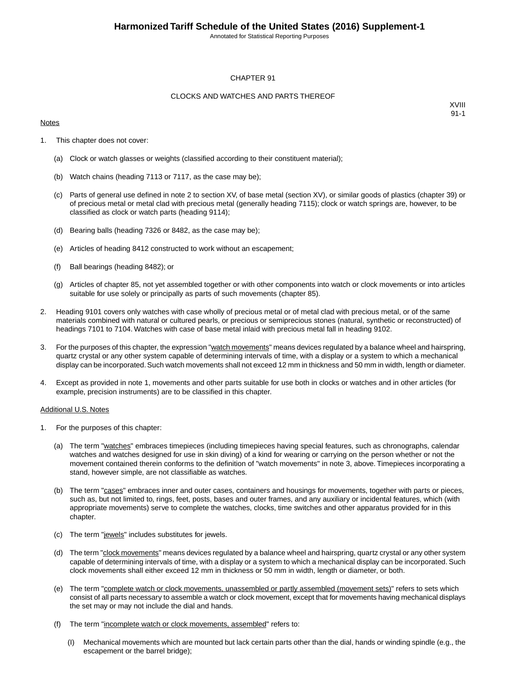Annotated for Statistical Reporting Purposes

#### CHAPTER 91

#### CLOCKS AND WATCHES AND PARTS THEREOF

#### **Notes**

XVIII 91-1

- 1. This chapter does not cover:
	- (a) Clock or watch glasses or weights (classified according to their constituent material);
	- (b) Watch chains (heading 7113 or 7117, as the case may be);
	- (c) Parts of general use defined in note 2 to section XV, of base metal (section XV), or similar goods of plastics (chapter 39) or of precious metal or metal clad with precious metal (generally heading 7115); clock or watch springs are, however, to be classified as clock or watch parts (heading 9114);
	- (d) Bearing balls (heading 7326 or 8482, as the case may be);
	- (e) Articles of heading 8412 constructed to work without an escapement;
	- (f) Ball bearings (heading 8482); or
	- (g) Articles of chapter 85, not yet assembled together or with other components into watch or clock movements or into articles suitable for use solely or principally as parts of such movements (chapter 85).
- 2. Heading 9101 covers only watches with case wholly of precious metal or of metal clad with precious metal, or of the same materials combined with natural or cultured pearls, or precious or semiprecious stones (natural, synthetic or reconstructed) of headings 7101 to 7104. Watches with case of base metal inlaid with precious metal fall in heading 9102.
- 3. For the purposes of this chapter, the expression "watch movements" means devices regulated by a balance wheel and hairspring, quartz crystal or any other system capable of determining intervals of time, with a display or a system to which a mechanical display can be incorporated. Such watch movements shall not exceed 12 mm in thickness and 50 mm in width, length or diameter.
- 4. Except as provided in note 1, movements and other parts suitable for use both in clocks or watches and in other articles (for example, precision instruments) are to be classified in this chapter.

#### Additional U.S. Notes

- 1. For the purposes of this chapter:
	- (a) The term "watches" embraces timepieces (including timepieces having special features, such as chronographs, calendar watches and watches designed for use in skin diving) of a kind for wearing or carrying on the person whether or not the movement contained therein conforms to the definition of "watch movements" in note 3, above. Timepieces incorporating a stand, however simple, are not classifiable as watches.
	- (b) The term "cases" embraces inner and outer cases, containers and housings for movements, together with parts or pieces, such as, but not limited to, rings, feet, posts, bases and outer frames, and any auxiliary or incidental features, which (with appropriate movements) serve to complete the watches, clocks, time switches and other apparatus provided for in this chapter.
	- (c) The term "jewels" includes substitutes for jewels.
	- (d) The term "clock movements" means devices regulated by a balance wheel and hairspring, quartz crystal or any other system capable of determining intervals of time, with a display or a system to which a mechanical display can be incorporated. Such clock movements shall either exceed 12 mm in thickness or 50 mm in width, length or diameter, or both.
	- (e) The term "complete watch or clock movements, unassembled or partly assembled (movement sets)" refers to sets which consist of all parts necessary to assemble a watch or clock movement, except that for movements having mechanical displays the set may or may not include the dial and hands.
	- (f) The term "incomplete watch or clock movements, assembled" refers to:
		- (I) Mechanical movements which are mounted but lack certain parts other than the dial, hands or winding spindle (e.g., the escapement or the barrel bridge);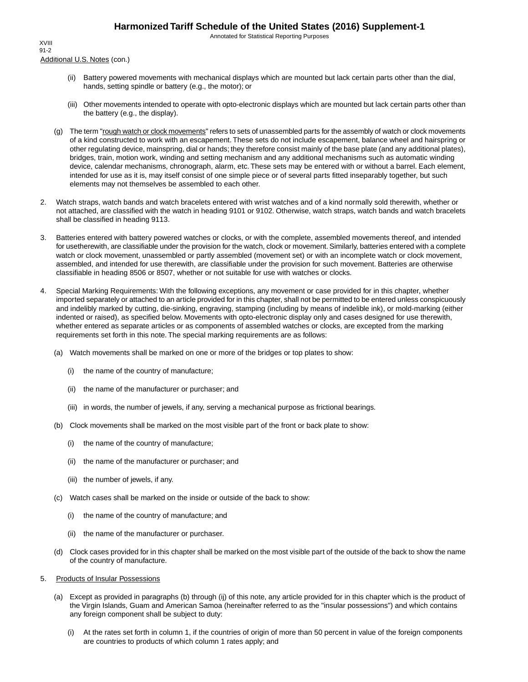Annotated for Statistical Reporting Purposes

Additional U.S. Notes (con.) XVIII 91-2

- (ii) Battery powered movements with mechanical displays which are mounted but lack certain parts other than the dial, hands, setting spindle or battery (e.g., the motor); or
- (iii) Other movements intended to operate with opto-electronic displays which are mounted but lack certain parts other than the battery (e.g., the display).
- (g) The term "rough watch or clock movements" refers to sets of unassembled parts for the assembly of watch or clock movements of a kind constructed to work with an escapement. These sets do not include escapement, balance wheel and hairspring or other regulating device, mainspring, dial or hands; they therefore consist mainly of the base plate (and any additional plates), bridges, train, motion work, winding and setting mechanism and any additional mechanisms such as automatic winding device, calendar mechanisms, chronograph, alarm, etc. These sets may be entered with or without a barrel. Each element, intended for use as it is, may itself consist of one simple piece or of several parts fitted inseparably together, but such elements may not themselves be assembled to each other.
- 2. Watch straps, watch bands and watch bracelets entered with wrist watches and of a kind normally sold therewith, whether or not attached, are classified with the watch in heading 9101 or 9102. Otherwise, watch straps, watch bands and watch bracelets shall be classified in heading 9113.
- 3. Batteries entered with battery powered watches or clocks, or with the complete, assembled movements thereof, and intended for usetherewith, are classifiable under the provision for the watch, clock or movement. Similarly, batteries entered with a complete watch or clock movement, unassembled or partly assembled (movement set) or with an incomplete watch or clock movement, assembled, and intended for use therewith, are classifiable under the provision for such movement. Batteries are otherwise classifiable in heading 8506 or 8507, whether or not suitable for use with watches or clocks.
- 4. Special Marking Requirements: With the following exceptions, any movement or case provided for in this chapter, whether imported separately or attached to an article provided for in this chapter, shall not be permitted to be entered unless conspicuously and indelibly marked by cutting, die-sinking, engraving, stamping (including by means of indelible ink), or mold-marking (either indented or raised), as specified below. Movements with opto-electronic display only and cases designed for use therewith, whether entered as separate articles or as components of assembled watches or clocks, are excepted from the marking requirements set forth in this note. The special marking requirements are as follows:
	- (a) Watch movements shall be marked on one or more of the bridges or top plates to show:
		- (i) the name of the country of manufacture;
		- (ii) the name of the manufacturer or purchaser; and
		- (iii) in words, the number of jewels, if any, serving a mechanical purpose as frictional bearings.
	- (b) Clock movements shall be marked on the most visible part of the front or back plate to show:
		- (i) the name of the country of manufacture;
		- (ii) the name of the manufacturer or purchaser; and
		- (iii) the number of jewels, if any.
	- (c) Watch cases shall be marked on the inside or outside of the back to show:
		- (i) the name of the country of manufacture; and
		- (ii) the name of the manufacturer or purchaser.
	- (d) Clock cases provided for in this chapter shall be marked on the most visible part of the outside of the back to show the name of the country of manufacture.
- 5. Products of Insular Possessions
	- (a) Except as provided in paragraphs (b) through (ij) of this note, any article provided for in this chapter which is the product of the Virgin Islands, Guam and American Samoa (hereinafter referred to as the "insular possessions") and which contains any foreign component shall be subject to duty:
		- (i) At the rates set forth in column 1, if the countries of origin of more than 50 percent in value of the foreign components are countries to products of which column 1 rates apply; and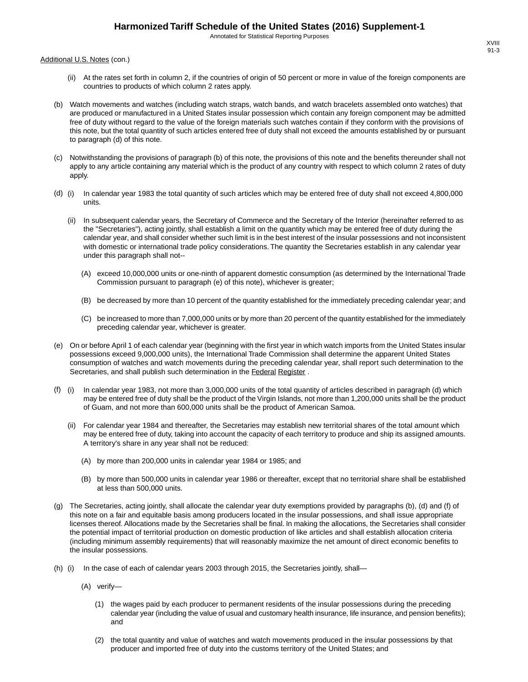Annotated for Statistical Reporting Purposes

Additional U.S. Notes (con.)

- (ii) At the rates set forth in column 2, if the countries of origin of 50 percent or more in value of the foreign components are countries to products of which column 2 rates apply.
- (b) Watch movements and watches (including watch straps, watch bands, and watch bracelets assembled onto watches) that are produced or manufactured in a United States insular possession which contain any foreign component may be admitted free of duty without regard to the value of the foreign materials such watches contain if they conform with the provisions of this note, but the total quantity of such articles entered free of duty shall not exceed the amounts established by or pursuant to paragraph (d) of this note.
- (c) Notwithstanding the provisions of paragraph (b) of this note, the provisions of this note and the benefits thereunder shall not apply to any article containing any material which is the product of any country with respect to which column 2 rates of duty apply.
- (d) (i) In calendar year 1983 the total quantity of such articles which may be entered free of duty shall not exceed 4,800,000 units.
	- (ii) In subsequent calendar years, the Secretary of Commerce and the Secretary of the Interior (hereinafter referred to as the "Secretaries"), acting jointly, shall establish a limit on the quantity which may be entered free of duty during the calendar year, and shall consider whether such limit is in the best interest of the insular possessions and not inconsistent with domestic or international trade policy considerations. The quantity the Secretaries establish in any calendar year under this paragraph shall not--
		- (A) exceed 10,000,000 units or one-ninth of apparent domestic consumption (as determined by the International Trade Commission pursuant to paragraph (e) of this note), whichever is greater;
		- (B) be decreased by more than 10 percent of the quantity established for the immediately preceding calendar year; and
		- (C) be increased to more than 7,000,000 units or by more than 20 percent of the quantity established for the immediately preceding calendar year, whichever is greater.
- (e) On or before April 1 of each calendar year (beginning with the first year in which watch imports from the United States insular possessions exceed 9,000,000 units), the International Trade Commission shall determine the apparent United States consumption of watches and watch movements during the preceding calendar year, shall report such determination to the Secretaries, and shall publish such determination in the Federal Register .
- (f) (i) In calendar year 1983, not more than 3,000,000 units of the total quantity of articles described in paragraph (d) which may be entered free of duty shall be the product of the Virgin Islands, not more than 1,200,000 units shall be the product of Guam, and not more than 600,000 units shall be the product of American Samoa.
	- (ii) For calendar year 1984 and thereafter, the Secretaries may establish new territorial shares of the total amount which may be entered free of duty, taking into account the capacity of each territory to produce and ship its assigned amounts. A territory's share in any year shall not be reduced:
		- (A) by more than 200,000 units in calendar year 1984 or 1985; and
		- (B) by more than 500,000 units in calendar year 1986 or thereafter, except that no territorial share shall be established at less than 500,000 units.
- (g) The Secretaries, acting jointly, shall allocate the calendar year duty exemptions provided by paragraphs (b), (d) and (f) of this note on a fair and equitable basis among producers located in the insular possessions, and shall issue appropriate licenses thereof. Allocations made by the Secretaries shall be final. In making the allocations, the Secretaries shall consider the potential impact of territorial production on domestic production of like articles and shall establish allocation criteria (including minimum assembly requirements) that will reasonably maximize the net amount of direct economic benefits to the insular possessions.
- (h) (i) In the case of each of calendar years 2003 through 2015, the Secretaries jointly, shall—
	- (A) verify—
		- (1) the wages paid by each producer to permanent residents of the insular possessions during the preceding calendar year (including the value of usual and customary health insurance, life insurance, and pension benefits); and
		- (2) the total quantity and value of watches and watch movements produced in the insular possessions by that producer and imported free of duty into the customs territory of the United States; and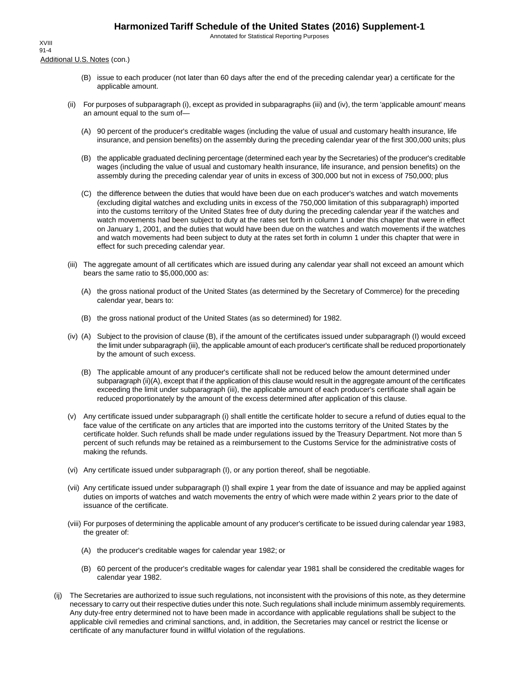Annotated for Statistical Reporting Purposes

Additional U.S. Notes (con.) XVIII 91-4

- (B) issue to each producer (not later than 60 days after the end of the preceding calendar year) a certificate for the applicable amount.
- (ii) For purposes of subparagraph (i), except as provided in subparagraphs (iii) and (iv), the term 'applicable amount' means an amount equal to the sum of—
	- (A) 90 percent of the producer's creditable wages (including the value of usual and customary health insurance, life insurance, and pension benefits) on the assembly during the preceding calendar year of the first 300,000 units; plus
	- (B) the applicable graduated declining percentage (determined each year by the Secretaries) of the producer's creditable wages (including the value of usual and customary health insurance, life insurance, and pension benefits) on the assembly during the preceding calendar year of units in excess of 300,000 but not in excess of 750,000; plus
	- (C) the difference between the duties that would have been due on each producer's watches and watch movements (excluding digital watches and excluding units in excess of the 750,000 limitation of this subparagraph) imported into the customs territory of the United States free of duty during the preceding calendar year if the watches and watch movements had been subject to duty at the rates set forth in column 1 under this chapter that were in effect on January 1, 2001, and the duties that would have been due on the watches and watch movements if the watches and watch movements had been subject to duty at the rates set forth in column 1 under this chapter that were in effect for such preceding calendar year.
- (iii) The aggregate amount of all certificates which are issued during any calendar year shall not exceed an amount which bears the same ratio to \$5,000,000 as:
	- (A) the gross national product of the United States (as determined by the Secretary of Commerce) for the preceding calendar year, bears to:
	- (B) the gross national product of the United States (as so determined) for 1982.
- (iv) (A) Subject to the provision of clause (B), if the amount of the certificates issued under subparagraph (I) would exceed the limit under subparagraph (iii), the applicable amount of each producer's certificate shall be reduced proportionately by the amount of such excess.
	- (B) The applicable amount of any producer's certificate shall not be reduced below the amount determined under subparagraph (ii)(A), except that if the application of this clause would result in the aggregate amount of the certificates exceeding the limit under subparagraph (iii), the applicable amount of each producer's certificate shall again be reduced proportionately by the amount of the excess determined after application of this clause.
- (v) Any certificate issued under subparagraph (i) shall entitle the certificate holder to secure a refund of duties equal to the face value of the certificate on any articles that are imported into the customs territory of the United States by the certificate holder. Such refunds shall be made under regulations issued by the Treasury Department. Not more than 5 percent of such refunds may be retained as a reimbursement to the Customs Service for the administrative costs of making the refunds.
- (vi) Any certificate issued under subparagraph (I), or any portion thereof, shall be negotiable.
- (vii) Any certificate issued under subparagraph (I) shall expire 1 year from the date of issuance and may be applied against duties on imports of watches and watch movements the entry of which were made within 2 years prior to the date of issuance of the certificate.
- (viii) For purposes of determining the applicable amount of any producer's certificate to be issued during calendar year 1983, the greater of:
	- (A) the producer's creditable wages for calendar year 1982; or
	- (B) 60 percent of the producer's creditable wages for calendar year 1981 shall be considered the creditable wages for calendar year 1982.
- (ij) The Secretaries are authorized to issue such regulations, not inconsistent with the provisions of this note, as they determine necessary to carry out their respective duties under this note. Such regulations shall include minimum assembly requirements. Any duty-free entry determined not to have been made in accordance with applicable regulations shall be subject to the applicable civil remedies and criminal sanctions, and, in addition, the Secretaries may cancel or restrict the license or certificate of any manufacturer found in willful violation of the regulations.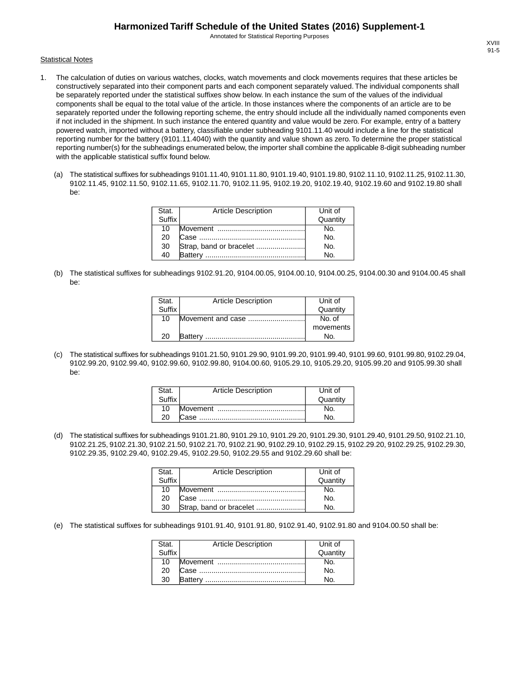Annotated for Statistical Reporting Purposes

#### **Statistical Notes**

- 1. The calculation of duties on various watches, clocks, watch movements and clock movements requires that these articles be constructively separated into their component parts and each component separately valued. The individual components shall be separately reported under the statistical suffixes show below. In each instance the sum of the values of the individual components shall be equal to the total value of the article. In those instances where the components of an article are to be separately reported under the following reporting scheme, the entry should include all the individually named components even if not included in the shipment. In such instance the entered quantity and value would be zero. For example, entry of a battery powered watch, imported without a battery, classifiable under subheading 9101.11.40 would include a line for the statistical reporting number for the battery (9101.11.4040) with the quantity and value shown as zero. To determine the proper statistical reporting number(s) for the subheadings enumerated below, the importer shall combine the applicable 8-digit subheading number with the applicable statistical suffix found below.
	- (a) The statistical suffixes for subheadings 9101.11.40, 9101.11.80, 9101.19.40, 9101.19.80, 9102.11.10, 9102.11.25, 9102.11.30, 9102.11.45, 9102.11.50, 9102.11.65, 9102.11.70, 9102.11.95, 9102.19.20, 9102.19.40, 9102.19.60 and 9102.19.80 shall be:

| Stat.  | <b>Article Description</b> | Unit of  |
|--------|----------------------------|----------|
| Suffix |                            | Quantity |
| 10     |                            | No.      |
| 20     |                            | No.      |
| 30     |                            | No.      |
| 40     | Battery                    | No.      |

(b) The statistical suffixes for subheadings 9102.91.20, 9104.00.05, 9104.00.10, 9104.00.25, 9104.00.30 and 9104.00.45 shall be:

| Stat.  | <b>Article Description</b> | Unit of   |
|--------|----------------------------|-----------|
| Suffix |                            | Quantity  |
| 10     | Movement and case          | No. of    |
|        |                            | movements |
| 20     | <b>Battery</b>             | No.       |

(c) The statistical suffixes for subheadings 9101.21.50, 9101.29.90, 9101.99.20, 9101.99.40, 9101.99.60, 9101.99.80, 9102.29.04, 9102.99.20, 9102.99.40, 9102.99.60, 9102.99.80, 9104.00.60, 9105.29.10, 9105.29.20, 9105.99.20 and 9105.99.30 shall be:

| Stat.  | <b>Article Description</b> | Unit of  |
|--------|----------------------------|----------|
| Suffix |                            | Quantity |
| 10     |                            |          |
| 20     |                            |          |

(d) The statistical suffixes for subheadings 9101.21.80, 9101.29.10, 9101.29.20, 9101.29.30, 9101.29.40, 9101.29.50, 9102.21.10, 9102.21.25, 9102.21.30, 9102.21.50, 9102.21.70, 9102.21.90, 9102.29.10, 9102.29.15, 9102.29.20, 9102.29.25, 9102.29.30, 9102.29.35, 9102.29.40, 9102.29.45, 9102.29.50, 9102.29.55 and 9102.29.60 shall be:

| Stat.<br>Suffix | <b>Article Description</b> | Unit of  |
|-----------------|----------------------------|----------|
|                 |                            | Quantity |
| 10              |                            | No.      |
| 20              |                            | No.      |
| 30              | Strap, band or bracelet    | N٥       |

(e) The statistical suffixes for subheadings 9101.91.40, 9101.91.80, 9102.91.40, 9102.91.80 and 9104.00.50 shall be:

| Stat.  | <b>Article Description</b> | Unit of        |
|--------|----------------------------|----------------|
| Suffix |                            | Quantity       |
| 10     |                            | No.            |
| 20     |                            | N <sub>O</sub> |
| 30     |                            | N٥             |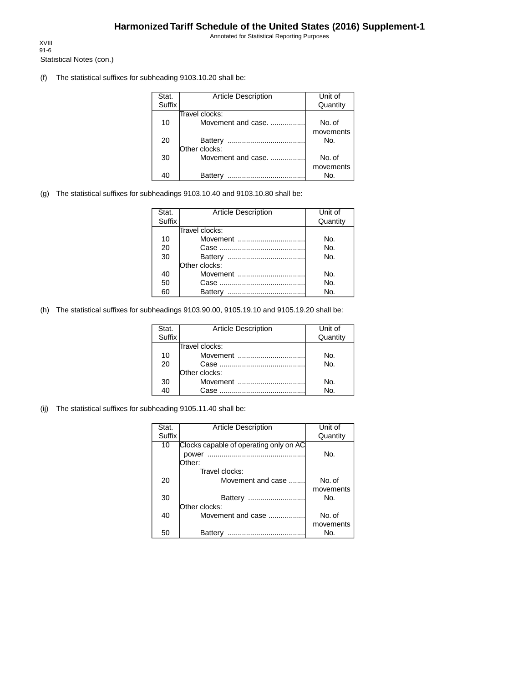Annotated for Statistical Reporting Purposes

Statistical Notes (con.) XVIII 91-6

(f) The statistical suffixes for subheading 9103.10.20 shall be:

| Stat.         | <b>Article Description</b> | Unit of   |
|---------------|----------------------------|-----------|
| <b>Suffix</b> |                            | Quantity  |
|               | Travel clocks:             |           |
| 10            | Movement and case.         | No. of    |
|               |                            | movements |
| 20            | Battery                    | No.       |
|               | Other clocks:              |           |
| 30            | Movement and case.         | No. of    |
|               |                            | movements |
|               | Battery<br>.               | Nο.       |

(g) The statistical suffixes for subheadings 9103.10.40 and 9103.10.80 shall be:

| Stat.         | <b>Article Description</b> | Unit of  |
|---------------|----------------------------|----------|
| <b>Suffix</b> |                            | Quantity |
|               | Travel clocks:             |          |
| 10            | Movement                   | No.      |
| 20            |                            | No.      |
| 30            |                            | No.      |
|               | Other clocks:              |          |
| 40            | Movement                   | No.      |
| 50            |                            | No.      |
| 60            |                            | Nο.      |

(h) The statistical suffixes for subheadings 9103.90.00, 9105.19.10 and 9105.19.20 shall be:

| Stat.         | <b>Article Description</b> | Unit of  |
|---------------|----------------------------|----------|
| <b>Suffix</b> |                            | Quantity |
|               | Travel clocks:             |          |
| 10            | Movement                   | No.      |
| 20            |                            | No.      |
|               | Other clocks:              |          |
| 30            | Movement                   | No.      |
| 40            | Case                       | No.      |

(ij) The statistical suffixes for subheading 9105.11.40 shall be:

| Stat.  | <b>Article Description</b>             | Unit of   |
|--------|----------------------------------------|-----------|
| Suffix |                                        | Quantity  |
| 10     | Clocks capable of operating only on AC |           |
|        | power                                  | No.       |
|        | Other:                                 |           |
|        | Travel clocks:                         |           |
| 20     | Movement and case                      | No. of    |
|        |                                        | movements |
| 30     | Battery<br>                            | No.       |
|        | Other clocks:                          |           |
| 40     | Movement and case                      | No. of    |
|        |                                        | movements |
| 50     | Batterv<br>                            | No.       |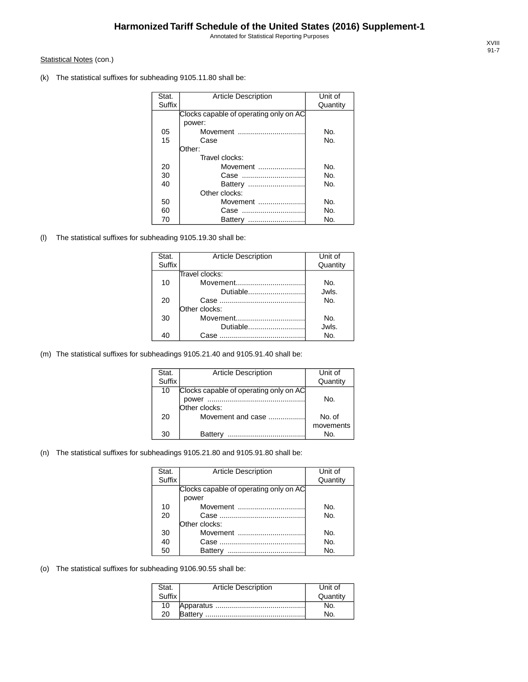Annotated for Statistical Reporting Purposes

#### Statistical Notes (con.)

(k) The statistical suffixes for subheading 9105.11.80 shall be:

| Stat.         | <b>Article Description</b>             | Unit of  |
|---------------|----------------------------------------|----------|
| <b>Suffix</b> |                                        | Quantity |
|               | Clocks capable of operating only on AC |          |
|               | power:                                 |          |
| 05            | Movement                               | No.      |
| 15            | Case                                   | No.      |
|               | :Other:                                |          |
|               | Travel clocks:                         |          |
| 20            | Movement                               | No.      |
| 30            |                                        | No.      |
| 40            |                                        | No.      |
|               | Other clocks:                          |          |
| 50            | Movement                               | No.      |
| 60            |                                        | No.      |
| 70            | Battery                                | No.      |

(l) The statistical suffixes for subheading 9105.19.30 shall be:

| Stat.  | <b>Article Description</b> | Unit of  |
|--------|----------------------------|----------|
| Suffix |                            | Quantity |
|        | Travel clocks:             |          |
| 10     | Movement                   | No.      |
|        | Dutiable                   | Jwls.    |
| 20     |                            | No.      |
|        | Other clocks:              |          |
| 30     | Movement                   | No.      |
|        | Dutiable                   | Jwls.    |
| 40     | Case                       | No.      |

(m) The statistical suffixes for subheadings 9105.21.40 and 9105.91.40 shall be:

| Stat.  | <b>Article Description</b>             | Unit of   |
|--------|----------------------------------------|-----------|
| Suffix |                                        | Quantity  |
| 10     | Clocks capable of operating only on AC |           |
|        | power                                  | No.       |
|        | Other clocks:                          |           |
| 20     | Movement and case                      | No. of    |
|        |                                        | movements |
| 30     | Battery                                | No.       |

#### (n) The statistical suffixes for subheadings 9105.21.80 and 9105.91.80 shall be:

| Stat.         | <b>Article Description</b>             | Unit of  |
|---------------|----------------------------------------|----------|
| <b>Suffix</b> |                                        | Quantity |
|               | Clocks capable of operating only on AC |          |
|               | power                                  |          |
| 10            | Movement                               | No.      |
| 20            |                                        | No.      |
|               | Other clocks:                          |          |
| 30            | Movement                               | No.      |
| 40            |                                        | No.      |
| 50            | Battery                                | Nο.      |

(o) The statistical suffixes for subheading 9106.90.55 shall be:

| Stat.  | <b>Article Description</b> | Unit of  |
|--------|----------------------------|----------|
| Suffix |                            | Quantity |
| 10     |                            |          |
| 20     |                            |          |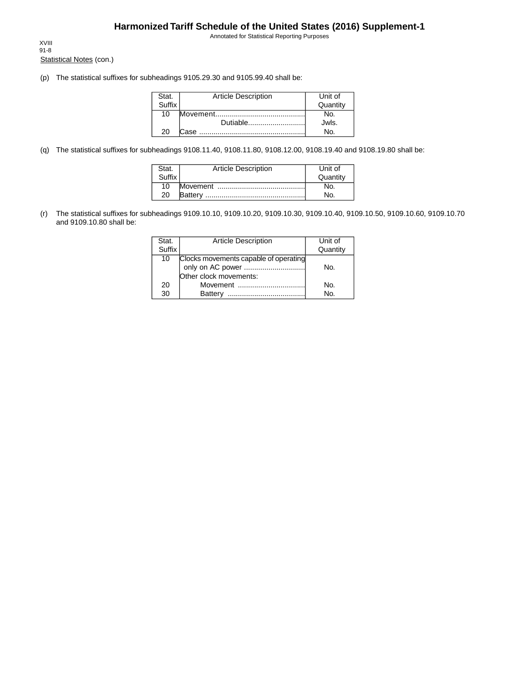Annotated for Statistical Reporting Purposes

Statistical Notes (con.) XVIII 91-8

(p) The statistical suffixes for subheadings 9105.29.30 and 9105.99.40 shall be:

| Stat.  | <b>Article Description</b> | Unit of  |
|--------|----------------------------|----------|
| Suffix |                            | Quantity |
| 10     |                            |          |
|        | Dutiable                   | Jwls.    |
| 20     |                            |          |

(q) The statistical suffixes for subheadings 9108.11.40, 9108.11.80, 9108.12.00, 9108.19.40 and 9108.19.80 shall be:

| Stat.  | <b>Article Description</b> | Unit of  |
|--------|----------------------------|----------|
| Suffix |                            | Quantity |
| 10     |                            | N۵       |
| 20     |                            | No.      |

(r) The statistical suffixes for subheadings 9109.10.10, 9109.10.20, 9109.10.30, 9109.10.40, 9109.10.50, 9109.10.60, 9109.10.70 and 9109.10.80 shall be:

| Stat.  | <b>Article Description</b>            | Unit of  |
|--------|---------------------------------------|----------|
| Suffix |                                       | Quantity |
| 10     | Clocks movements capable of operating |          |
|        |                                       | No.      |
|        | Other clock movements:                |          |
| 20     | Movement                              | Nο.      |
| 30     | <b>Battery</b><br>                    | N٥       |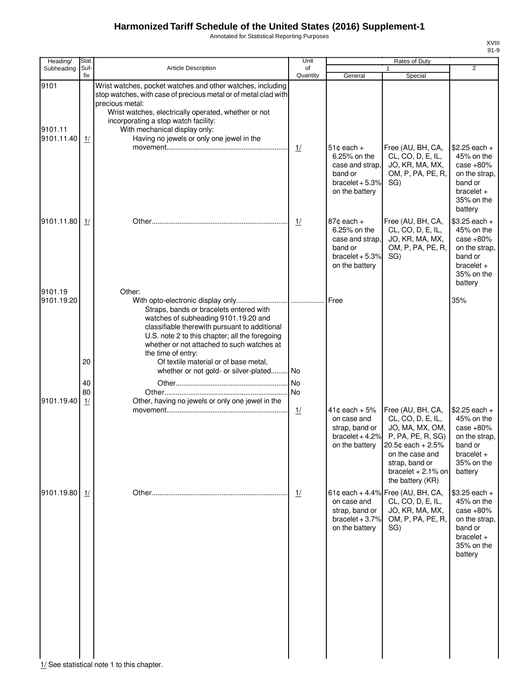Annotated for Statistical Reporting Purposes

| Heading/              | Stat.       |                                                                                                                                                                                                                                                                                   | Unit           |                                                                                                  | Rates of Duty                                                                                                                                                                        |                                                                                                                  |
|-----------------------|-------------|-----------------------------------------------------------------------------------------------------------------------------------------------------------------------------------------------------------------------------------------------------------------------------------|----------------|--------------------------------------------------------------------------------------------------|--------------------------------------------------------------------------------------------------------------------------------------------------------------------------------------|------------------------------------------------------------------------------------------------------------------|
| Subheading            | Suf-<br>fix | Article Description                                                                                                                                                                                                                                                               | of<br>Quantity | General                                                                                          | Special                                                                                                                                                                              | $\overline{2}$                                                                                                   |
| 9101<br>9101.11       |             | Wrist watches, pocket watches and other watches, including<br>stop watches, with case of precious metal or of metal clad with<br>precious metal:<br>Wrist watches, electrically operated, whether or not<br>incorporating a stop watch facility:<br>With mechanical display only: |                |                                                                                                  |                                                                                                                                                                                      |                                                                                                                  |
| 9101.11.40            | 1/          | Having no jewels or only one jewel in the                                                                                                                                                                                                                                         | $\frac{1}{2}$  | $51¢$ each +<br>6.25% on the<br>case and strap,<br>band or<br>bracelet $+5.3%$<br>on the battery | Free (AU, BH, CA,<br>CL, CO, D, E, IL,<br>JO, KR, MA, MX,<br>OM, P, PA, PE, R,<br>SG)                                                                                                | $$2.25$ each +<br>45% on the<br>case $+80%$<br>on the strap.<br>band or<br>$bracelet +$<br>35% on the<br>battery |
| 9101.11.80            | 1/          |                                                                                                                                                                                                                                                                                   | 1/             | $87¢$ each +<br>6.25% on the<br>case and strap.<br>band or<br>bracelet $+5.3%$<br>on the battery | Free (AU, BH, CA,<br>CL, CO, D, E, IL,<br>JO, KR, MA, MX,<br>OM, P, PA, PE, R,<br>SG)                                                                                                | $$3.25$ each +<br>45% on the<br>case $+80%$<br>on the strap,<br>band or<br>$bracelet +$<br>35% on the<br>battery |
| 9101.19<br>9101.19.20 |             | Other:<br>Straps, bands or bracelets entered with<br>watches of subheading 9101.19.20 and<br>classifiable therewith pursuant to additional<br>U.S. note 2 to this chapter; all the foregoing<br>whether or not attached to such watches at<br>the time of entry:                  |                | Free                                                                                             |                                                                                                                                                                                      | 35%                                                                                                              |
|                       | 20          | Of textile material or of base metal,<br>whether or not gold- or silver-plated No                                                                                                                                                                                                 |                |                                                                                                  |                                                                                                                                                                                      |                                                                                                                  |
|                       | 40          |                                                                                                                                                                                                                                                                                   | <b>No</b>      |                                                                                                  |                                                                                                                                                                                      |                                                                                                                  |
|                       | 80          |                                                                                                                                                                                                                                                                                   | No             |                                                                                                  |                                                                                                                                                                                      |                                                                                                                  |
| 9101.19.40            | 1/          | Other, having no jewels or only one jewel in the                                                                                                                                                                                                                                  | 1/             | $41¢$ each + 5%<br>on case and<br>strap, band or<br>bracelet $+4.2%$<br>on the battery           | Free (AU, BH, CA,<br>CL, CO, D, E, IL,<br>JO, MA, MX, OM,<br>P, PA, PE, R, SG)<br>20.5¢ each + 2.5%<br>on the case and<br>strap, band or<br>bracelet $+2.1\%$ on<br>the battery (KR) | $$2.25$ each +<br>45% on the<br>case $+80%$<br>on the strap,<br>band or<br>$bracelet +$<br>35% on the<br>battery |
| 9101.19.80            | 1/          |                                                                                                                                                                                                                                                                                   | $\frac{1}{2}$  | on case and<br>strap, band or<br>bracelet $+3.7%$<br>on the battery                              | 61¢ each + 4.4% Free (AU, BH, CA,<br>CL, CO, D, E, IL,<br>JO, KR, MA, MX,<br>OM, P, PA, PE, R,<br>SG)                                                                                | $$3.25$ each +<br>45% on the<br>case $+80%$<br>on the strap.<br>band or<br>$bracelet +$<br>35% on the<br>battery |

1/ See statistical note 1 to this chapter.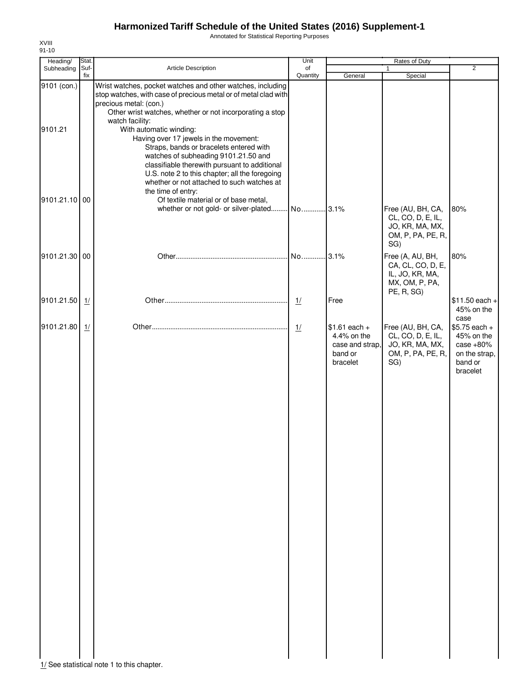Annotated for Statistical Reporting Purposes

| Subheading<br>9101 (con.)<br>9101.21 | Suf-<br>fix | <b>Article Description</b><br>Wrist watches, pocket watches and other watches, including<br>stop watches, with case of precious metal or of metal clad with                                                                                                                                                    | of<br>Quantity | General                                                                 | 1<br>Special                                                                             | $\overline{2}$                                                                              |
|--------------------------------------|-------------|----------------------------------------------------------------------------------------------------------------------------------------------------------------------------------------------------------------------------------------------------------------------------------------------------------------|----------------|-------------------------------------------------------------------------|------------------------------------------------------------------------------------------|---------------------------------------------------------------------------------------------|
|                                      |             |                                                                                                                                                                                                                                                                                                                |                |                                                                         |                                                                                          |                                                                                             |
|                                      |             | precious metal: (con.)<br>Other wrist watches, whether or not incorporating a stop<br>watch facility:<br>With automatic winding:<br>Having over 17 jewels in the movement:<br>Straps, bands or bracelets entered with<br>watches of subheading 9101.21.50 and<br>classifiable therewith pursuant to additional |                |                                                                         |                                                                                          |                                                                                             |
| 9101.21.10 00                        |             | U.S. note 2 to this chapter; all the foregoing<br>whether or not attached to such watches at<br>the time of entry:<br>Of textile material or of base metal,<br>whether or not gold- or silver-plated                                                                                                           | No 3.1%        |                                                                         | Free (AU, BH, CA,<br>CL, CO, D, E, IL,<br>JO, KR, MA, MX,<br>OM, P, PA, PE, R,<br>SG)    | 80%                                                                                         |
| 9101.21.30 00                        |             |                                                                                                                                                                                                                                                                                                                |                |                                                                         | Free (A, AU, BH,<br>CA, CL, CO, D, E,<br>IL, JO, KR, MA,<br>MX, OM, P, PA,<br>PE, R, SG) | 80%                                                                                         |
| 9101.21.50                           | 1/          |                                                                                                                                                                                                                                                                                                                | $\frac{1}{2}$  | Free                                                                    |                                                                                          | $$11.50$ each +<br>45% on the                                                               |
| 9101.21.80                           | 1/          |                                                                                                                                                                                                                                                                                                                | 1/             | $$1.61$ each +<br>4.4% on the<br>case and strap,<br>band or<br>bracelet | Free (AU, BH, CA,<br>CL, CO, D, E, IL,<br>JO, KR, MA, MX,<br>OM, P, PA, PE, R,<br>SG)    | case<br>$$5.75$ each +<br>45% on the<br>case $+80%$<br>on the strap,<br>band or<br>bracelet |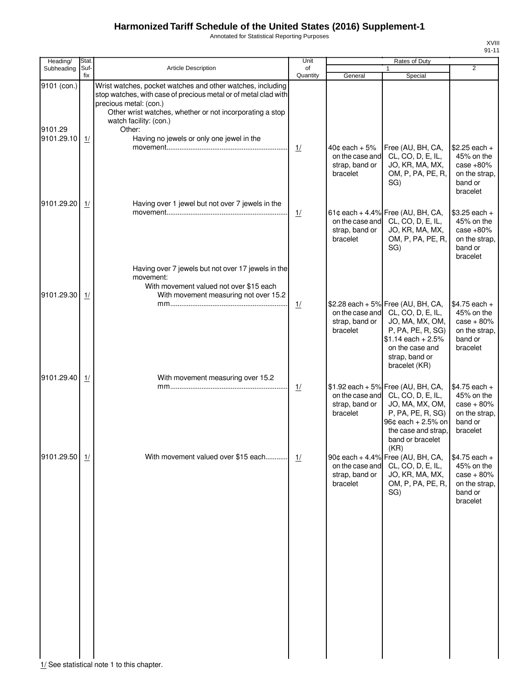Annotated for Statistical Reporting Purposes

| Heading/               | Stat.       |                                                                                                                                                                                                                                                         | Unit           |                                                                    | <b>Rates of Duty</b>                                                                                                                                                                         |                                                                                       |
|------------------------|-------------|---------------------------------------------------------------------------------------------------------------------------------------------------------------------------------------------------------------------------------------------------------|----------------|--------------------------------------------------------------------|----------------------------------------------------------------------------------------------------------------------------------------------------------------------------------------------|---------------------------------------------------------------------------------------|
| Subheading             | Suf-<br>fix | <b>Article Description</b>                                                                                                                                                                                                                              | of<br>Quantity | General                                                            | 1<br>Special                                                                                                                                                                                 | $\overline{2}$                                                                        |
| 9101 (con.)<br>9101.29 |             | Wrist watches, pocket watches and other watches, including<br>stop watches, with case of precious metal or of metal clad with<br>precious metal: (con.)<br>Other wrist watches, whether or not incorporating a stop<br>watch facility: (con.)<br>Other: |                |                                                                    |                                                                                                                                                                                              |                                                                                       |
| 9101.29.10             | 1/          | Having no jewels or only one jewel in the                                                                                                                                                                                                               | 1/             | $40¢$ each $+5\%$<br>on the case and<br>strap, band or<br>bracelet | Free (AU, BH, CA,<br>CL, CO, D, E, IL,<br>JO, KR, MA, MX,<br>OM, P, PA, PE, R,<br>SG)                                                                                                        | $$2.25$ each +<br>45% on the<br>case $+80%$<br>on the strap,<br>band or<br>bracelet   |
| 9101.29.20             | 1/          | Having over 1 jewel but not over 7 jewels in the                                                                                                                                                                                                        | $\frac{1}{2}$  | on the case and<br>strap, band or<br>bracelet                      | 61¢ each + 4.4% Free (AU, BH, CA,<br>CL, CO, D, E, IL,<br>JO, KR, MA, MX,<br>OM, P, PA, PE, R,<br>SG)                                                                                        | $$3.25$ each +<br>45% on the<br>case $+80%$<br>on the strap.<br>band or<br>bracelet   |
| 9101.29.30             | 1/          | Having over 7 jewels but not over 17 jewels in the<br>movement:<br>With movement valued not over \$15 each<br>With movement measuring not over 15.2                                                                                                     |                |                                                                    |                                                                                                                                                                                              |                                                                                       |
|                        |             |                                                                                                                                                                                                                                                         | $\frac{1}{2}$  | strap, band or<br>bracelet                                         | \$2.28 each + 5% Free (AU, BH, CA,<br>on the case and CL, CO, D, E, IL,<br>JO, MA, MX, OM,<br>P, PA, PE, R, SG)<br>$$1.14$ each + 2.5%<br>on the case and<br>strap, band or<br>bracelet (KR) | $$4.75$ each +<br>45% on the<br>$case + 80\%$<br>on the strap,<br>band or<br>bracelet |
| 9101.29.40             | 1/          | With movement measuring over 15.2                                                                                                                                                                                                                       | 1/             | on the case and<br>strap, band or<br>bracelet                      | $$1.92$ each + 5% Free (AU, BH, CA,<br>CL, CO, D, E, IL,<br>JO, MA, MX, OM,<br>P, PA, PE, R, SG)<br>96¢ each + 2.5% on<br>the case and strap,<br>band or bracelet<br>(KR)                    | $$4.75$ each +<br>45% on the<br>$case + 80\%$<br>on the strap,<br>band or<br>bracelet |
| 9101.29.50             | 1/          | With movement valued over \$15 each                                                                                                                                                                                                                     | 1/             | on the case and<br>strap, band or<br>bracelet                      | 90¢ each + 4.4% Free (AU, BH, CA,<br>CL, CO, D, E, IL,<br>JO, KR, MA, MX,<br>OM, P, PA, PE, R,<br>SG)                                                                                        | $$4.75$ each +<br>45% on the<br>$case + 80%$<br>on the strap,<br>band or<br>bracelet  |
|                        |             |                                                                                                                                                                                                                                                         |                |                                                                    |                                                                                                                                                                                              |                                                                                       |
|                        |             |                                                                                                                                                                                                                                                         |                |                                                                    |                                                                                                                                                                                              |                                                                                       |
|                        |             |                                                                                                                                                                                                                                                         |                |                                                                    |                                                                                                                                                                                              |                                                                                       |

 $\frac{1}{1}$  See statistical note 1 to this chapter.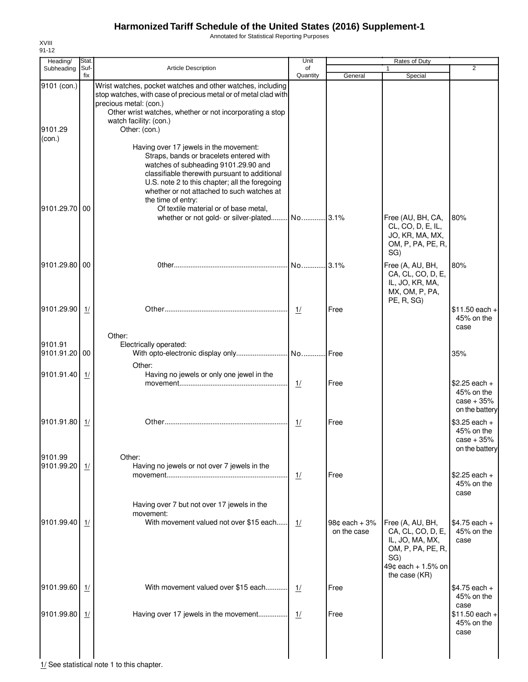Annotated for Statistical Reporting Purposes

| Heading/                         | Stat        |                                                                                                                                                                                                                                                                                                                                                                                    | Unit           |                                          | Rates of Duty                                                                                              |                                                                |
|----------------------------------|-------------|------------------------------------------------------------------------------------------------------------------------------------------------------------------------------------------------------------------------------------------------------------------------------------------------------------------------------------------------------------------------------------|----------------|------------------------------------------|------------------------------------------------------------------------------------------------------------|----------------------------------------------------------------|
| Subheading                       | Suf-<br>fix | <b>Article Description</b>                                                                                                                                                                                                                                                                                                                                                         | of<br>Quantity | General                                  | $\mathbf{1}$<br>Special                                                                                    | $\overline{2}$                                                 |
| 9101 (con.)<br>9101.29<br>(con.) |             | Wrist watches, pocket watches and other watches, including<br>stop watches, with case of precious metal or of metal clad with<br>precious metal: (con.)<br>Other wrist watches, whether or not incorporating a stop<br>watch facility: (con.)<br>Other: (con.)                                                                                                                     |                |                                          |                                                                                                            |                                                                |
| 9101.29.70 00                    |             | Having over 17 jewels in the movement:<br>Straps, bands or bracelets entered with<br>watches of subheading 9101.29.90 and<br>classifiable therewith pursuant to additional<br>U.S. note 2 to this chapter; all the foregoing<br>whether or not attached to such watches at<br>the time of entry:<br>Of textile material or of base metal,<br>whether or not gold- or silver-plated | No 3.1%        |                                          | Free (AU, BH, CA,                                                                                          | 80%                                                            |
|                                  |             |                                                                                                                                                                                                                                                                                                                                                                                    |                |                                          | CL, CO, D, E, IL,<br>JO, KR, MA, MX,<br>OM, P, PA, PE, R,<br>SG)                                           |                                                                |
| 9101.29.80 00                    |             |                                                                                                                                                                                                                                                                                                                                                                                    | No 3.1%        |                                          | Free (A, AU, BH,<br>CA, CL, CO, D, E,<br>IL, JO, KR, MA,<br>MX, OM, P, PA,<br>PE, R, SG)                   | 80%                                                            |
| 9101.29.90                       | 1/          | Other:                                                                                                                                                                                                                                                                                                                                                                             | 1/             | Free                                     |                                                                                                            | $$11.50$ each +<br>45% on the<br>case                          |
| 9101.91<br>9101.91.20 00         |             | Electrically operated:                                                                                                                                                                                                                                                                                                                                                             |                |                                          |                                                                                                            | 35%                                                            |
| 9101.91.40                       | 1/          | Other:<br>Having no jewels or only one jewel in the                                                                                                                                                                                                                                                                                                                                | 1/             | Free                                     |                                                                                                            | $$2.25$ each +<br>45% on the<br>$case + 35%$<br>on the battery |
| 9101.91.80                       | 1/          |                                                                                                                                                                                                                                                                                                                                                                                    | 1/             | Free                                     |                                                                                                            | $$3.25$ each +<br>45% on the<br>$case + 35%$<br>on the battery |
| 9101.99<br>9101.99.20            | 1/          | Other:<br>Having no jewels or not over 7 jewels in the                                                                                                                                                                                                                                                                                                                             | 1/             | Free                                     |                                                                                                            | $$2.25$ each +<br>45% on the<br>case                           |
| 9101.99.40                       | 1/          | Having over 7 but not over 17 jewels in the<br>movement:<br>With movement valued not over \$15 each                                                                                                                                                                                                                                                                                | 1/             | 98 $\texttt{e}$ each + 3%<br>on the case | Free (A, AU, BH,<br>CA, CL, CO, D, E,<br>IL, JO, MA, MX,<br>OM, P, PA, PE, R,<br>SG)<br>49¢ each + 1.5% on | $$4.75$ each +<br>45% on the<br>case                           |
| 9101.99.60                       | 1/          | With movement valued over \$15 each                                                                                                                                                                                                                                                                                                                                                | 1/             | Free                                     | the case (KR)                                                                                              | $$4.75$ each +<br>45% on the                                   |
| 9101.99.80                       | 1/          | Having over 17 jewels in the movement                                                                                                                                                                                                                                                                                                                                              | 1/             | Free                                     |                                                                                                            | case<br>$$11.50$ each +<br>45% on the<br>case                  |

 $\frac{1}{2}$  See statistical note 1 to this chapter.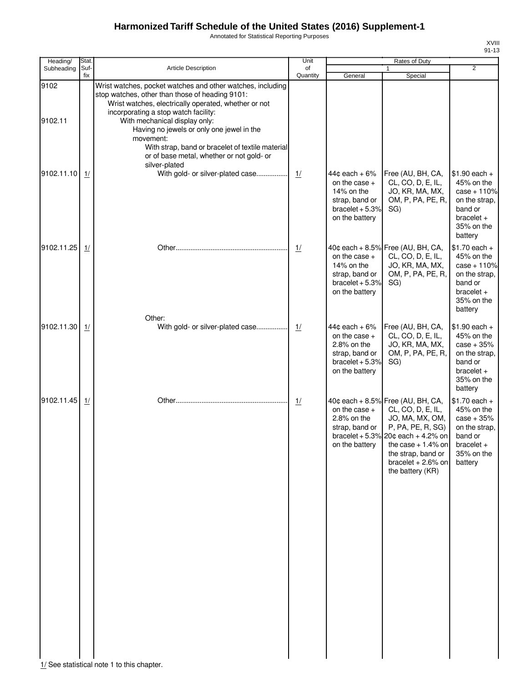Annotated for Statistical Reporting Purposes

XVIII 91-13

| Heading/        | Stat.       | <b>Article Description</b>                                                                                                                                                                                                                                                                                                                                                                                                 | Unit           |                                                                                                              | Rates of Duty                                                                                                                                                                                                                       |                                                                                                                    |
|-----------------|-------------|----------------------------------------------------------------------------------------------------------------------------------------------------------------------------------------------------------------------------------------------------------------------------------------------------------------------------------------------------------------------------------------------------------------------------|----------------|--------------------------------------------------------------------------------------------------------------|-------------------------------------------------------------------------------------------------------------------------------------------------------------------------------------------------------------------------------------|--------------------------------------------------------------------------------------------------------------------|
| Subheading      | Suf-<br>fix |                                                                                                                                                                                                                                                                                                                                                                                                                            | of<br>Quantity | General                                                                                                      | $\mathbf{1}$<br>Special                                                                                                                                                                                                             | 2                                                                                                                  |
| 9102<br>9102.11 |             | Wrist watches, pocket watches and other watches, including<br>stop watches, other than those of heading 9101:<br>Wrist watches, electrically operated, whether or not<br>incorporating a stop watch facility:<br>With mechanical display only:<br>Having no jewels or only one jewel in the<br>movement:<br>With strap, band or bracelet of textile material<br>or of base metal, whether or not gold- or<br>silver-plated |                |                                                                                                              |                                                                                                                                                                                                                                     |                                                                                                                    |
| 9102.11.10      | 1/          | With gold- or silver-plated case                                                                                                                                                                                                                                                                                                                                                                                           | 1/             | $44¢$ each + 6%<br>on the case $+$<br>14% on the<br>strap, band or<br>bracelet $+5.3%$<br>on the battery     | Free (AU, BH, CA,<br>CL, CO, D, E, IL,<br>JO, KR, MA, MX,<br>OM, P, PA, PE, R,<br>SG)                                                                                                                                               | $$1.90$ each +<br>45% on the<br>$case + 110%$<br>on the strap,<br>band or<br>$bracelet +$<br>35% on the<br>battery |
| 9102.11.25      | 1/          |                                                                                                                                                                                                                                                                                                                                                                                                                            | $\frac{1}{2}$  | on the case $+$<br>14% on the<br>strap, band or<br>bracelet $+5.3%$<br>on the battery                        | 40¢ each + 8.5% Free (AU, BH, CA,<br>CL, CO, D, E, IL,<br>JO, KR, MA, MX,<br>OM, P, PA, PE, R,<br>SG)                                                                                                                               | $$1.70$ each +<br>45% on the<br>$case + 110%$<br>on the strap,<br>band or<br>$bracelet +$<br>35% on the<br>battery |
| 9102.11.30      | 1/          | Other:<br>With gold- or silver-plated case                                                                                                                                                                                                                                                                                                                                                                                 | 1/             | $44c$ each + 6%<br>on the case $+$<br>$2.8\%$ on the<br>strap, band or<br>bracelet $+5.3%$<br>on the battery | Free (AU, BH, CA,<br>CL, CO, D, E, IL,<br>JO, KR, MA, MX,<br>OM, P, PA, PE, R,<br>SG)                                                                                                                                               | $$1.90$ each +<br>45% on the<br>$case + 35%$<br>on the strap,<br>band or<br>$bracelet +$<br>35% on the<br>battery  |
| 9102.11.45      | 1/          |                                                                                                                                                                                                                                                                                                                                                                                                                            | 1/             | on the case $+$<br>2.8% on the<br>strap, band or<br>on the battery                                           | 40¢ each + 8.5% Free (AU, BH, CA,<br>CL, CO, D, E, IL,<br>JO, MA, MX, OM,<br>P, PA, PE, R, SG)<br>bracelet + 5.3% 20 $\phi$ each + 4.2% on<br>the case $+1.4\%$ on<br>the strap, band or<br>bracelet $+2.6%$ on<br>the battery (KR) | $$1.70$ each +<br>45% on the<br>$case + 35%$<br>on the strap,<br>band or<br>bracelet $+$<br>35% on the<br>battery  |

1/ See statistical note 1 to this chapter.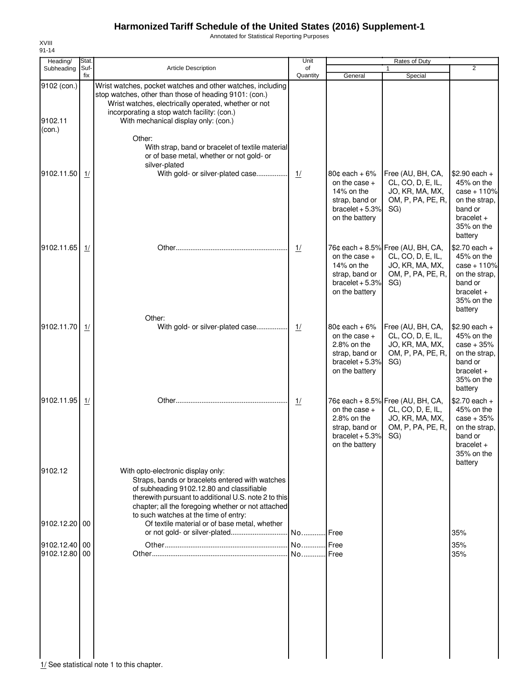Annotated for Statistical Reporting Purposes

| Heading/                         | Stat.       |                                                                                                                                                                                                                                                                                           | Unit           |                                                                                                                     | Rates of Duty                                                                                         |                                                                                                                    |
|----------------------------------|-------------|-------------------------------------------------------------------------------------------------------------------------------------------------------------------------------------------------------------------------------------------------------------------------------------------|----------------|---------------------------------------------------------------------------------------------------------------------|-------------------------------------------------------------------------------------------------------|--------------------------------------------------------------------------------------------------------------------|
| Subheading                       | Suf-<br>fix | Article Description                                                                                                                                                                                                                                                                       | of<br>Quantity | General                                                                                                             | 1<br>Special                                                                                          | $\overline{2}$                                                                                                     |
| 9102 (con.)<br>9102.11<br>(con.) |             | Wrist watches, pocket watches and other watches, including<br>stop watches, other than those of heading 9101: (con.)<br>Wrist watches, electrically operated, whether or not<br>incorporating a stop watch facility: (con.)<br>With mechanical display only: (con.)                       |                |                                                                                                                     |                                                                                                       |                                                                                                                    |
|                                  |             | Other:<br>With strap, band or bracelet of textile material<br>or of base metal, whether or not gold- or<br>silver-plated                                                                                                                                                                  |                |                                                                                                                     |                                                                                                       |                                                                                                                    |
| 9102.11.50                       | 1/          | With gold- or silver-plated case                                                                                                                                                                                                                                                          | 1/             | $80¢$ each + 6%<br>on the case $+$<br>14% on the<br>strap, band or<br>bracelet $+5.3%$<br>on the battery            | Free (AU, BH, CA,<br>CL, CO, D, E, IL,<br>JO, KR, MA, MX,<br>OM, P, PA, PE, R,<br>SG)                 | $$2.90$ each +<br>45% on the<br>$case + 110%$<br>on the strap,<br>band or<br>$bracelet +$<br>35% on the<br>battery |
| 9102.11.65                       | 1/          |                                                                                                                                                                                                                                                                                           | $\frac{1}{2}$  | on the case +<br>14% on the<br>strap, band or<br>bracelet $+5.3%$<br>on the battery                                 | 76¢ each + 8.5% Free (AU, BH, CA,<br>CL, CO, D, E, IL,<br>JO, KR, MA, MX,<br>OM, P, PA, PE, R,<br>SG) | $$2.70$ each +<br>45% on the<br>$case + 110%$<br>on the strap,<br>band or<br>$bracelet +$<br>35% on the<br>battery |
| 9102.11.70                       | 1/          | Other:<br>With gold- or silver-plated case                                                                                                                                                                                                                                                | 1/             | 80 $\texttt{c}$ each + 6%<br>on the case $+$<br>2.8% on the<br>strap, band or<br>bracelet $+5.3%$<br>on the battery | Free (AU, BH, CA,<br>CL, CO, D, E, IL,<br>JO, KR, MA, MX,<br>OM, P, PA, PE, R,<br>SG)                 | $$2.90$ each +<br>45% on the<br>$case + 35%$<br>on the strap,<br>band or<br>$bracelet +$<br>35% on the<br>battery  |
| 9102.11.95                       | 1/          |                                                                                                                                                                                                                                                                                           | $\frac{1}{2}$  | on the case $+$<br>2.8% on the<br>strap, band or<br>bracelet $+5.3%$<br>on the battery                              | 76¢ each + 8.5% Free (AU, BH, CA,<br>CL, CO, D, E, IL,<br>JO, KR, MA, MX,<br>OM, P, PA, PE, R,<br>SG) | $$2.70$ each +<br>45% on the<br>$case + 35%$<br>on the strap,<br>band or<br>$bracelet +$<br>35% on the             |
| 9102.12                          |             | With opto-electronic display only:<br>Straps, bands or bracelets entered with watches<br>of subheading 9102.12.80 and classifiable<br>therewith pursuant to additional U.S. note 2 to this<br>chapter; all the foregoing whether or not attached<br>to such watches at the time of entry: |                |                                                                                                                     |                                                                                                       | battery                                                                                                            |
| 9102.12.20 00                    |             | Of textile material or of base metal, whether                                                                                                                                                                                                                                             |                |                                                                                                                     |                                                                                                       | 35%                                                                                                                |
| 9102.12.40 00<br>9102.12.80 00   |             |                                                                                                                                                                                                                                                                                           | No             | Free<br><b>Free</b>                                                                                                 |                                                                                                       | 35%<br>35%                                                                                                         |
|                                  |             |                                                                                                                                                                                                                                                                                           |                |                                                                                                                     |                                                                                                       |                                                                                                                    |

1/ See statistical note 1 to this chapter.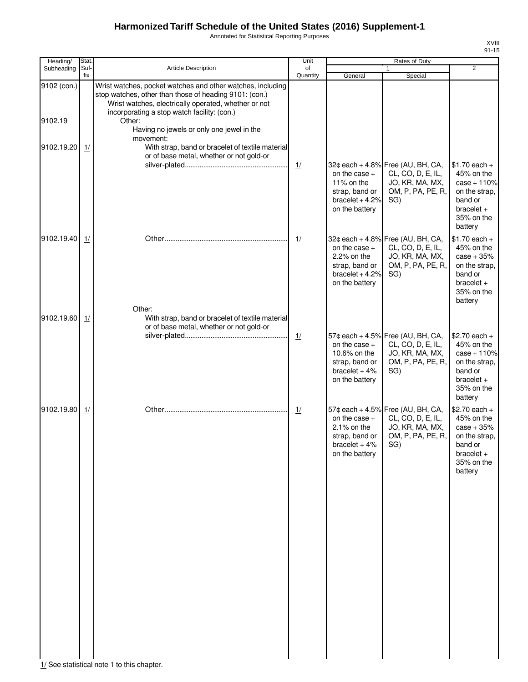Annotated for Statistical Reporting Purposes

XVIII 91-15

| Heading/<br>Subheading | Stat.<br>Suf- | <b>Article Description</b>                                                                                                                                                                                                                                                         | Unit<br>of    |                                                                                         | <b>Rates of Duty</b><br>$\mathbf{1}$                                                                  | $\overline{2}$                                                                                                     |
|------------------------|---------------|------------------------------------------------------------------------------------------------------------------------------------------------------------------------------------------------------------------------------------------------------------------------------------|---------------|-----------------------------------------------------------------------------------------|-------------------------------------------------------------------------------------------------------|--------------------------------------------------------------------------------------------------------------------|
|                        | fix           |                                                                                                                                                                                                                                                                                    | Quantity      | General                                                                                 | Special                                                                                               |                                                                                                                    |
| 9102 (con.)<br>9102.19 |               | Wrist watches, pocket watches and other watches, including<br>stop watches, other than those of heading 9101: (con.)<br>Wrist watches, electrically operated, whether or not<br>incorporating a stop watch facility: (con.)<br>Other:<br>Having no jewels or only one jewel in the |               |                                                                                         |                                                                                                       |                                                                                                                    |
| 9102.19.20             | 1/            | movement:<br>With strap, band or bracelet of textile material<br>or of base metal, whether or not gold-or                                                                                                                                                                          |               |                                                                                         |                                                                                                       |                                                                                                                    |
|                        |               |                                                                                                                                                                                                                                                                                    | $\frac{1}{2}$ | on the case $+$<br>11% on the<br>strap, band or<br>bracelet $+4.2%$<br>on the battery   | 32¢ each + 4.8% Free (AU, BH, CA,<br>CL, CO, D, E, IL,<br>JO, KR, MA, MX,<br>OM, P, PA, PE, R,<br>SG) | $$1.70$ each +<br>45% on the<br>$case + 110%$<br>on the strap,<br>band or<br>$bracelet +$<br>35% on the<br>battery |
| 9102.19.40             | 1/            |                                                                                                                                                                                                                                                                                    | $\frac{1}{2}$ | on the case $+$<br>2.2% on the<br>strap, band or<br>bracelet $+4.2%$<br>on the battery  | 32¢ each + 4.8% Free (AU, BH, CA,<br>CL, CO, D, E, IL,<br>JO, KR, MA, MX,<br>OM, P, PA, PE, R,<br>SG) | $$1.70$ each +<br>45% on the<br>$case + 35%$<br>on the strap,<br>band or<br>bracelet $+$<br>35% on the<br>battery  |
| 9102.19.60             | 1/            | Other:<br>With strap, band or bracelet of textile material                                                                                                                                                                                                                         |               |                                                                                         |                                                                                                       |                                                                                                                    |
|                        |               | or of base metal, whether or not gold-or                                                                                                                                                                                                                                           | 1/            | on the case $+$<br>10.6% on the<br>strap, band or<br>bracelet $+4%$<br>on the battery   | 57¢ each + 4.5% Free (AU, BH, CA,<br>CL, CO, D, E, IL,<br>JO, KR, MA, MX,<br>OM, P, PA, PE, R,<br>SG) | $$2.70$ each +<br>45% on the<br>$case + 110%$<br>on the strap,<br>band or<br>$bracelet +$<br>35% on the<br>battery |
| 9102.19.80             | 1/            |                                                                                                                                                                                                                                                                                    | 1/            | on the case $+$<br>$2.1\%$ on the<br>strap, band or<br>bracelet $+4%$<br>on the battery | 57¢ each + 4.5% Free (AU, BH, CA,<br>CL, CO, D, E, IL,<br>JO, KR, MA, MX,<br>OM, P, PA, PE, R,<br>SG) | $$2.70$ each +<br>45% on the<br>$case + 35%$<br>on the strap,<br>band or<br>$bracelet +$<br>35% on the<br>battery  |

1/ See statistical note 1 to this chapter.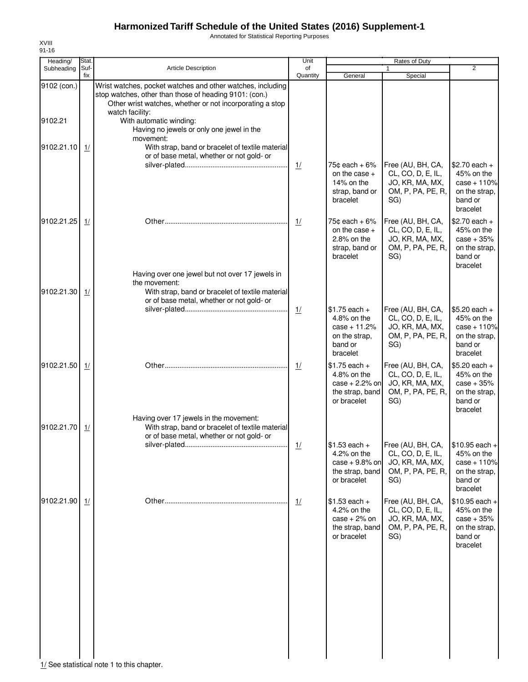Annotated for Statistical Reporting Purposes

| Heading/    | Stat.       |                                                                                                                                                                                                     | Unit           |                                                                                        | Rates of Duty                                                                         |                                                                                        |  |
|-------------|-------------|-----------------------------------------------------------------------------------------------------------------------------------------------------------------------------------------------------|----------------|----------------------------------------------------------------------------------------|---------------------------------------------------------------------------------------|----------------------------------------------------------------------------------------|--|
| Subheading  | Suf-<br>fix | Article Description                                                                                                                                                                                 | of<br>Quantity | General                                                                                | Special                                                                               | $\overline{2}$                                                                         |  |
| 9102 (con.) |             | Wrist watches, pocket watches and other watches, including<br>stop watches, other than those of heading 9101: (con.)<br>Other wrist watches, whether or not incorporating a stop<br>watch facility: |                |                                                                                        |                                                                                       |                                                                                        |  |
| 9102.21     |             | With automatic winding:<br>Having no jewels or only one jewel in the<br>movement:                                                                                                                   |                |                                                                                        |                                                                                       |                                                                                        |  |
| 9102.21.10  | 1/          | With strap, band or bracelet of textile material<br>or of base metal, whether or not gold- or                                                                                                       |                |                                                                                        |                                                                                       |                                                                                        |  |
|             |             |                                                                                                                                                                                                     | $\frac{1}{2}$  | 75¢ each + 6%<br>on the case +<br>14% on the<br>strap, band or<br>bracelet             | Free (AU, BH, CA,<br>CL, CO, D, E, IL,<br>JO, KR, MA, MX,<br>OM, P, PA, PE, R,<br>SG) | $$2.70$ each +<br>45% on the<br>$case + 110%$<br>on the strap,<br>band or<br>bracelet  |  |
| 9102.21.25  | 1/          |                                                                                                                                                                                                     | 1/             | $75¢$ each + 6%<br>on the case $+$<br>$2.8\%$ on the<br>strap, band or<br>bracelet     | Free (AU, BH, CA,<br>CL, CO, D, E, IL,<br>JO, KR, MA, MX,<br>OM, P, PA, PE, R,<br>SG) | $$2.70$ each +<br>45% on the<br>$case + 35%$<br>on the strap,<br>band or<br>bracelet   |  |
| 9102.21.30  | 1/          | Having over one jewel but not over 17 jewels in<br>the movement:<br>With strap, band or bracelet of textile material                                                                                |                |                                                                                        |                                                                                       |                                                                                        |  |
|             |             | or of base metal, whether or not gold- or                                                                                                                                                           | $\frac{1}{2}$  | $$1.75$ each +                                                                         | Free (AU, BH, CA,                                                                     | $$5.20$ each +                                                                         |  |
|             |             |                                                                                                                                                                                                     |                | 4.8% on the<br>$case + 11.2%$<br>on the strap,<br>band or<br>bracelet                  | CL, CO, D, E, IL,<br>JO, KR, MA, MX,<br>OM, P, PA, PE, R,<br>SG)                      | 45% on the<br>$case + 110%$<br>on the strap,<br>band or<br>bracelet                    |  |
| 9102.21.50  | 1/          |                                                                                                                                                                                                     | 1/             | $$1.75$ each +<br>$4.8\%$ on the<br>$case + 2.2%$ on<br>the strap, band<br>or bracelet | Free (AU, BH, CA,<br>CL, CO, D, E, IL,<br>JO, KR, MA, MX,<br>OM, P, PA, PE, R,<br>SG) | $$5.20$ each +<br>45% on the<br>$case + 35%$<br>on the strap,<br>band or<br>bracelet   |  |
| 9102.21.70  | 1/          | Having over 17 jewels in the movement:<br>With strap, band or bracelet of textile material<br>or of base metal, whether or not gold- or                                                             |                |                                                                                        |                                                                                       |                                                                                        |  |
|             |             |                                                                                                                                                                                                     | 1/             | $$1.53$ each +<br>4.2% on the<br>case $+9.8%$ on<br>the strap, band<br>or bracelet     | Free (AU, BH, CA,<br>CL, CO, D, E, IL,<br>JO, KR, MA, MX,<br>OM, P, PA, PE, R,<br>SG) | $$10.95$ each +<br>45% on the<br>$case + 110%$<br>on the strap,<br>band or<br>bracelet |  |
| 9102.21.90  | 1/          |                                                                                                                                                                                                     | 1/             | $$1.53$ each +<br>4.2% on the<br>$case + 2%$ on<br>the strap, band<br>or bracelet      | Free (AU, BH, CA,<br>CL, CO, D, E, IL,<br>JO, KR, MA, MX,<br>OM, P, PA, PE, R,<br>SG) | $$10.95$ each +<br>45% on the<br>$case + 35%$<br>on the strap,<br>band or<br>bracelet  |  |
|             |             |                                                                                                                                                                                                     |                |                                                                                        |                                                                                       |                                                                                        |  |
|             |             |                                                                                                                                                                                                     |                |                                                                                        |                                                                                       |                                                                                        |  |
|             |             | 1/ See statistical note 1 to this chapter.                                                                                                                                                          |                |                                                                                        |                                                                                       |                                                                                        |  |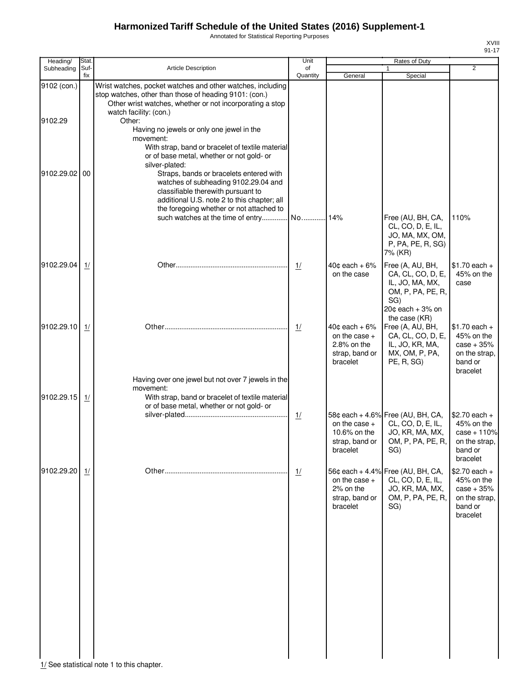Annotated for Statistical Reporting Purposes

XVIII 91-17

| Heading/    | Stat.       |                                                                                                                                                                                                                                                                                                                                                  | Unit           |                                                                                   | Rates of Duty                                                                                                |                                                                                       |
|-------------|-------------|--------------------------------------------------------------------------------------------------------------------------------------------------------------------------------------------------------------------------------------------------------------------------------------------------------------------------------------------------|----------------|-----------------------------------------------------------------------------------|--------------------------------------------------------------------------------------------------------------|---------------------------------------------------------------------------------------|
| Subheading  | Suf-<br>fix | <b>Article Description</b>                                                                                                                                                                                                                                                                                                                       | of<br>Quantity | General                                                                           | Special                                                                                                      | $\overline{2}$                                                                        |
| 9102 (con.) |             | Wrist watches, pocket watches and other watches, including<br>stop watches, other than those of heading 9101: (con.)<br>Other wrist watches, whether or not incorporating a stop                                                                                                                                                                 |                |                                                                                   |                                                                                                              |                                                                                       |
| 9102.29     |             | watch facility: (con.)<br>Other:<br>Having no jewels or only one jewel in the                                                                                                                                                                                                                                                                    |                |                                                                                   |                                                                                                              |                                                                                       |
| 9102.29.02  | 00          | movement:<br>With strap, band or bracelet of textile material<br>or of base metal, whether or not gold- or<br>silver-plated:<br>Straps, bands or bracelets entered with<br>watches of subheading 9102.29.04 and<br>classifiable therewith pursuant to<br>additional U.S. note 2 to this chapter; all<br>the foregoing whether or not attached to |                |                                                                                   |                                                                                                              |                                                                                       |
|             |             | such watches at the time of entry No                                                                                                                                                                                                                                                                                                             |                | 14%                                                                               | Free (AU, BH, CA,<br>CL, CO, D, E, IL,<br>JO, MA, MX, OM,<br>P, PA, PE, R, SG)<br>7% (KR)                    | 110%                                                                                  |
| 9102.29.04  | 1/          |                                                                                                                                                                                                                                                                                                                                                  | 1/             | $40¢$ each + $6%$<br>on the case                                                  | Free (A, AU, BH,<br>CA, CL, CO, D, E,<br>IL, JO, MA, MX,<br>OM, P, PA, PE, R,<br>SG)<br>$20¢$ each + $3%$ on | $$1.70$ each +<br>45% on the<br>case                                                  |
| 9102.29.10  | 1/          |                                                                                                                                                                                                                                                                                                                                                  | 1/             | $40¢$ each + $6%$<br>on the case $+$<br>2.8% on the<br>strap, band or<br>bracelet | the case (KR)<br>Free (A, AU, BH,<br>CA, CL, CO, D, E,<br>IL, JO, KR, MA,<br>MX, OM, P, PA,<br>PE, R, SG)    | $$1.70$ each +<br>45% on the<br>$case + 35%$<br>on the strap,<br>band or<br>bracelet  |
| 9102.29.15  | 1/          | Having over one jewel but not over 7 jewels in the<br>movement:<br>With strap, band or bracelet of textile material<br>or of base metal, whether or not gold- or                                                                                                                                                                                 |                |                                                                                   |                                                                                                              |                                                                                       |
|             |             |                                                                                                                                                                                                                                                                                                                                                  | $\frac{1}{2}$  | on the case $+$<br>10.6% on the<br>strap, band or<br>bracelet                     | 58¢ each + 4.6% Free (AU, BH, CA,<br>CL, CO, D, E, IL,<br>JO, KR, MA, MX,<br>OM, P, PA, PE, R,<br>SG)        | $$2.70$ each +<br>45% on the<br>$case + 110%$<br>on the strap,<br>band or<br>bracelet |
| 9102.29.20  | 1/          |                                                                                                                                                                                                                                                                                                                                                  | 1/             | on the case $+$<br>2% on the<br>strap, band or<br>bracelet                        | 56¢ each + 4.4% Free (AU, BH, CA,<br>CL, CO, D, E, IL,<br>JO, KR, MA, MX,<br>OM, P, PA, PE, R,<br>SG)        | $$2.70$ each +<br>45% on the<br>$case + 35%$<br>on the strap.<br>band or<br>bracelet  |
|             |             |                                                                                                                                                                                                                                                                                                                                                  |                |                                                                                   |                                                                                                              |                                                                                       |
|             |             |                                                                                                                                                                                                                                                                                                                                                  |                |                                                                                   |                                                                                                              |                                                                                       |
|             |             | 1/ See statistical note 1 to this chapter                                                                                                                                                                                                                                                                                                        |                |                                                                                   |                                                                                                              |                                                                                       |

 $1/$  See statistical note 1 to this chapter.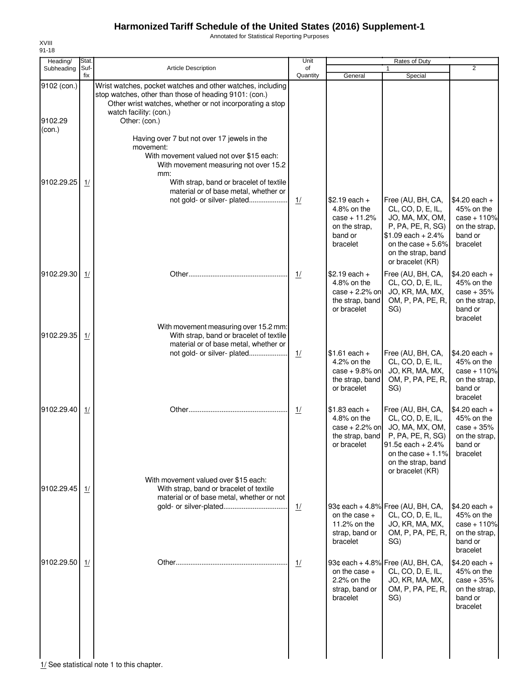Annotated for Statistical Reporting Purposes

| Heading/               | Stat.       |                                                                                                                                                                                                                             | Unit           |                                                                                         | Rates of Duty                                                                                                                                                            |                                                                                       |
|------------------------|-------------|-----------------------------------------------------------------------------------------------------------------------------------------------------------------------------------------------------------------------------|----------------|-----------------------------------------------------------------------------------------|--------------------------------------------------------------------------------------------------------------------------------------------------------------------------|---------------------------------------------------------------------------------------|
| Subheading             | Suf-<br>fix | <b>Article Description</b>                                                                                                                                                                                                  | of<br>Quantity | General                                                                                 | Special                                                                                                                                                                  | $\overline{2}$                                                                        |
| 9102 (con.)<br>9102.29 |             | Wrist watches, pocket watches and other watches, including<br>stop watches, other than those of heading 9101: (con.)<br>Other wrist watches, whether or not incorporating a stop<br>watch facility: (con.)<br>Other: (con.) |                |                                                                                         |                                                                                                                                                                          |                                                                                       |
| (con.)<br>9102.29.25   | 1/          | Having over 7 but not over 17 jewels in the<br>movement:<br>With movement valued not over \$15 each:<br>With movement measuring not over 15.2<br>mm:<br>With strap, band or bracelet of textile                             |                |                                                                                         |                                                                                                                                                                          |                                                                                       |
|                        |             | material or of base metal, whether or<br>not gold- or silver- plated                                                                                                                                                        | 1/             | $$2.19$ each +<br>4.8% on the<br>$case + 11.2%$<br>on the strap,<br>band or<br>bracelet | Free (AU, BH, CA,<br>CL, CO, D, E, IL,<br>JO, MA, MX, OM,<br>P, PA, PE, R, SG)<br>$$1.09$ each + 2.4%<br>on the case $+5.6\%$<br>on the strap, band<br>or bracelet (KR)  | $$4.20$ each +<br>45% on the<br>$case + 110%$<br>on the strap,<br>band or<br>bracelet |
| 9102.29.30             | 1/          |                                                                                                                                                                                                                             | 1/             | $$2.19$ each +<br>4.8% on the<br>case $+2.2%$ on<br>the strap, band<br>or bracelet      | Free (AU, BH, CA,<br>CL, CO, D, E, IL,<br>JO, KR, MA, MX,<br>OM, P, PA, PE, R,<br>SG)                                                                                    | $$4.20$ each +<br>45% on the<br>$case + 35%$<br>on the strap,<br>band or<br>bracelet  |
| 9102.29.35             | 1/          | With movement measuring over 15.2 mm:<br>With strap, band or bracelet of textile<br>material or of base metal, whether or<br>not gold- or silver- plated                                                                    | 1/             | $$1.61$ each +                                                                          | Free (AU, BH, CA,                                                                                                                                                        | $$4.20$ each +                                                                        |
|                        |             |                                                                                                                                                                                                                             |                | 4.2% on the<br>$case + 9.8%$ on<br>the strap, band<br>or bracelet                       | CL, CO, D, E, IL,<br>JO, KR, MA, MX,<br>OM, P, PA, PE, R,<br>SG)                                                                                                         | 45% on the<br>$case + 110%$<br>on the strap,<br>band or<br>bracelet                   |
| 9102.29.40             | 1/          |                                                                                                                                                                                                                             | 1/             | $$1.83$ each +<br>4.8% on the<br>$case + 2.2%$ on<br>the strap, band<br>or bracelet     | Free (AU, BH, CA,<br>CL, CO, D, E, IL,<br>JO, MA, MX, OM,<br>P, PA, PE, R, SG)<br>91.5 $¢$ each + 2.4%<br>on the case $+1.1\%$<br>on the strap, band<br>or bracelet (KR) | $$4.20$ each +<br>45% on the<br>$case + 35%$<br>on the strap,<br>band or<br>bracelet  |
| 9102.29.45             | 1/          | With movement valued over \$15 each:<br>With strap, band or bracelet of textile<br>material or of base metal, whether or not                                                                                                | 1/             |                                                                                         | 93¢ each + 4.8% Free (AU, BH, CA,                                                                                                                                        | $$4.20$ each +                                                                        |
|                        |             |                                                                                                                                                                                                                             |                | on the case $+$<br>11.2% on the<br>strap, band or<br>bracelet                           | CL, CO, D, E, IL,<br>JO, KR, MA, MX,<br>OM, P, PA, PE, R,<br>SG)                                                                                                         | 45% on the<br>$case + 110%$<br>on the strap,<br>band or<br>bracelet                   |
| 9102.29.50             | 1/          |                                                                                                                                                                                                                             | 1/             | on the case $+$<br>2.2% on the<br>strap, band or<br>bracelet                            | 93¢ each + 4.8% Free (AU, BH, CA,<br>CL, CO, D, E, IL,<br>JO, KR, MA, MX,<br>OM, P, PA, PE, R,<br>SG)                                                                    | $$4.20$ each +<br>45% on the<br>$case + 35%$<br>on the strap,<br>band or<br>bracelet  |
|                        |             |                                                                                                                                                                                                                             |                |                                                                                         |                                                                                                                                                                          |                                                                                       |

1/ See statistical note 1 to this chapter.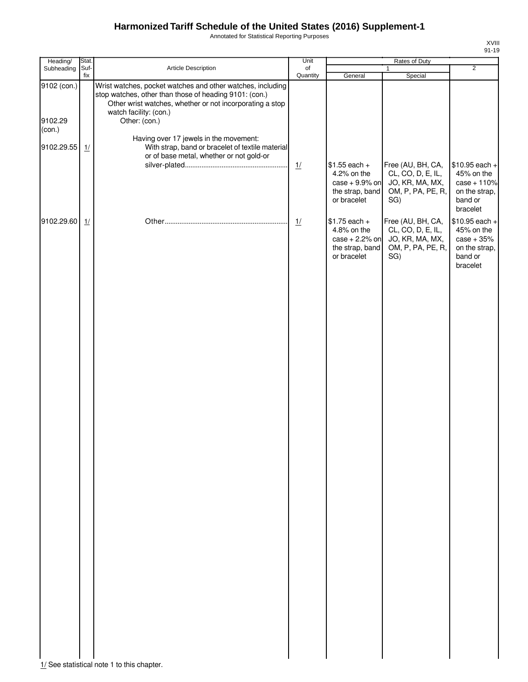Annotated for Statistical Reporting Purposes

XVIII 91-19

| Heading/                         | Stat.       |                                                                                                                                                                                                                             | Unit           | Rates of Duty                                                                       |                                                                                       |                                                                                        |
|----------------------------------|-------------|-----------------------------------------------------------------------------------------------------------------------------------------------------------------------------------------------------------------------------|----------------|-------------------------------------------------------------------------------------|---------------------------------------------------------------------------------------|----------------------------------------------------------------------------------------|
| Subheading                       | Suf-<br>fix | Article Description                                                                                                                                                                                                         | of<br>Quantity | General                                                                             | $\mathbf{1}$<br>Special                                                               | $\overline{2}$                                                                         |
| 9102 (con.)<br>9102.29<br>(con.) |             | Wrist watches, pocket watches and other watches, including<br>stop watches, other than those of heading 9101: (con.)<br>Other wrist watches, whether or not incorporating a stop<br>watch facility: (con.)<br>Other: (con.) |                |                                                                                     |                                                                                       |                                                                                        |
| 9102.29.55                       | 1/          | Having over 17 jewels in the movement:<br>With strap, band or bracelet of textile material<br>or of base metal, whether or not gold-or                                                                                      |                |                                                                                     |                                                                                       |                                                                                        |
|                                  |             |                                                                                                                                                                                                                             | $\frac{1}{2}$  | $$1.55$ each +<br>4.2% on the<br>$case + 9.9%$ on<br>the strap, band<br>or bracelet | Free (AU, BH, CA,<br>CL, CO, D, E, IL,<br>JO, KR, MA, MX,<br>OM, P, PA, PE, R,<br>SG) | $$10.95$ each +<br>45% on the<br>$case + 110%$<br>on the strap,<br>band or<br>bracelet |
| 9102.29.60                       | 1/          |                                                                                                                                                                                                                             | $\frac{1}{2}$  | $$1.75$ each +<br>4.8% on the<br>$case + 2.2%$ on<br>the strap, band<br>or bracelet | Free (AU, BH, CA,<br>CL, CO, D, E, IL,<br>JO, KR, MA, MX,<br>OM, P, PA, PE, R,<br>SG) | \$10.95 each +<br>45% on the<br>$case + 35%$<br>on the strap,<br>band or<br>bracelet   |
|                                  |             |                                                                                                                                                                                                                             |                |                                                                                     |                                                                                       |                                                                                        |
|                                  |             |                                                                                                                                                                                                                             |                |                                                                                     |                                                                                       |                                                                                        |
|                                  |             |                                                                                                                                                                                                                             |                |                                                                                     |                                                                                       |                                                                                        |
|                                  |             |                                                                                                                                                                                                                             |                |                                                                                     |                                                                                       |                                                                                        |
|                                  |             |                                                                                                                                                                                                                             |                |                                                                                     |                                                                                       |                                                                                        |
|                                  |             |                                                                                                                                                                                                                             |                |                                                                                     |                                                                                       |                                                                                        |
|                                  |             |                                                                                                                                                                                                                             |                |                                                                                     |                                                                                       |                                                                                        |
|                                  |             |                                                                                                                                                                                                                             |                |                                                                                     |                                                                                       |                                                                                        |
|                                  |             |                                                                                                                                                                                                                             |                |                                                                                     |                                                                                       |                                                                                        |
|                                  |             |                                                                                                                                                                                                                             |                |                                                                                     |                                                                                       |                                                                                        |
|                                  |             |                                                                                                                                                                                                                             |                |                                                                                     |                                                                                       |                                                                                        |

1/ See statistical note 1 to this chapter.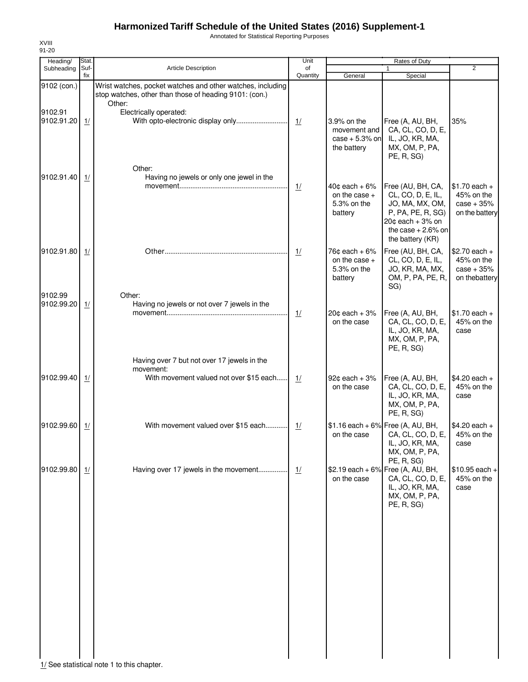Annotated for Statistical Reporting Purposes

| Heading/              | Stat.       |                                                                                                                                | Unit           |                                                                        | Rates of Duty                                                                                                                                       | $\overline{2}$                                                 |
|-----------------------|-------------|--------------------------------------------------------------------------------------------------------------------------------|----------------|------------------------------------------------------------------------|-----------------------------------------------------------------------------------------------------------------------------------------------------|----------------------------------------------------------------|
| Subheading            | Suf-<br>fix | <b>Article Description</b>                                                                                                     | of<br>Quantity | General                                                                | 1<br>Special                                                                                                                                        |                                                                |
| 9102 (con.)           |             | Wrist watches, pocket watches and other watches, including<br>stop watches, other than those of heading 9101: (con.)<br>Other: |                |                                                                        |                                                                                                                                                     |                                                                |
| 9102.91<br>9102.91.20 | 1/          | Electrically operated:<br>With opto-electronic display only                                                                    | 1/             | 3.9% on the<br>movement and<br>case $+5.3\%$ on<br>the battery         | Free (A, AU, BH,<br>CA, CL, CO, D, E,<br>IL, JO, KR, MA,<br>MX, OM, P, PA,<br>PE, R, SG)                                                            | 35%                                                            |
| 9102.91.40            | 1/          | Other:<br>Having no jewels or only one jewel in the                                                                            | $\frac{1}{2}$  | $40¢$ each + 6%<br>on the case $+$<br>5.3% on the<br>battery           | Free (AU, BH, CA,<br>CL, CO, D, E, IL,<br>JO, MA, MX, OM,<br>P, PA, PE, R, SG)<br>$20¢$ each + $3\%$ on<br>the case $+2.6\%$ on<br>the battery (KR) | $$1.70$ each +<br>45% on the<br>$case + 35%$<br>on the battery |
| 9102.91.80            | 1/          |                                                                                                                                | 1/             | 76 $\texttt{c}$ each + 6%<br>on the case $+$<br>5.3% on the<br>battery | Free (AU, BH, CA,<br>CL, CO, D, E, IL,<br>JO, KR, MA, MX,<br>OM, P, PA, PE, R,<br>SG)                                                               | $$2.70$ each +<br>45% on the<br>$case + 35%$<br>on thebattery  |
| 9102.99<br>9102.99.20 | 1/          | Other:<br>Having no jewels or not over 7 jewels in the                                                                         | $\frac{1}{2}$  | $20¢$ each + $3\%$<br>on the case                                      | Free (A, AU, BH,<br>CA, CL, CO, D, E,<br>IL, JO, KR, MA,<br>MX, OM, P, PA,<br>PE, R, SG)                                                            | $$1.70$ each +<br>45% on the<br>case                           |
| 9102.99.40            | 1/          | Having over 7 but not over 17 jewels in the<br>movement:<br>With movement valued not over \$15 each                            | 1/             | $92¢$ each + $3%$<br>on the case                                       | Free (A, AU, BH,<br>CA, CL, CO, D, E,<br>IL, JO, KR, MA,<br>MX, OM, P, PA,<br>PE, R, SG)                                                            | $$4.20$ each +<br>45% on the<br>case                           |
| 9102.99.60            | 1/          | With movement valued over \$15 each                                                                                            | 1/             | on the case                                                            | $$1.16$ each + 6% Free (A, AU, BH,<br>CA, CL, CO, D, E,<br>IL, JO, KR, MA,<br>MX, OM, P, PA,                                                        | $$4.20$ each +<br>45% on the<br>case                           |
| 9102.99.80            | 1/          | Having over 17 jewels in the movement                                                                                          | 1/             | on the case                                                            | PE, R, SG)<br>\$2.19 each + 6% Free (A, AU, BH,<br>CA, CL, CO, D, E,<br>IL, JO, KR, MA,<br>MX, OM, P, PA,<br>PE, R, SG)                             | $$10.95$ each +<br>45% on the<br>case                          |
|                       |             | 1/ See statistical note 1 to this chapter.                                                                                     |                |                                                                        |                                                                                                                                                     |                                                                |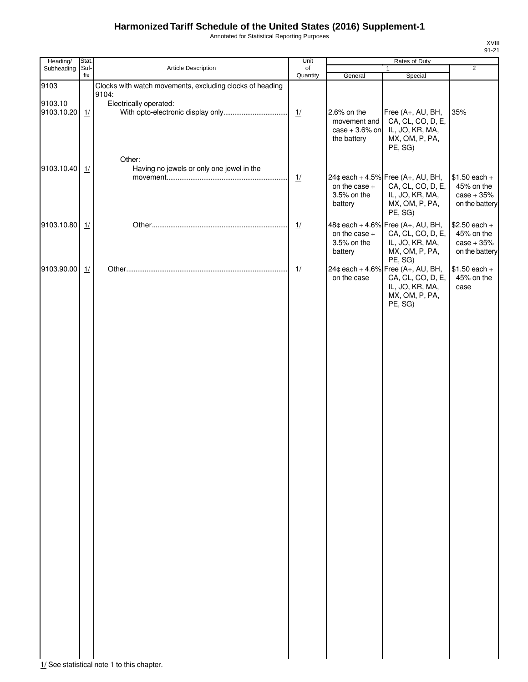Annotated for Statistical Reporting Purposes

| Heading/<br>Stat.           |                                                                   | Unit           |                                                               | Rates of Duty                                                                                                     |                                                                |
|-----------------------------|-------------------------------------------------------------------|----------------|---------------------------------------------------------------|-------------------------------------------------------------------------------------------------------------------|----------------------------------------------------------------|
| Subheading<br>Suf-<br>fix   | Article Description                                               | of<br>Quantity | General                                                       | 1                                                                                                                 | $\overline{2}$                                                 |
| 9103                        | Clocks with watch movements, excluding clocks of heading<br>9104: |                |                                                               | Special                                                                                                           |                                                                |
| 9103.10<br>9103.10.20<br>1/ | Electrically operated:                                            | 1/             | 2.6% on the<br>movement and<br>case $+3.6%$ on<br>the battery | Free (A+, AU, BH,<br>CA, CL, CO, D, E,<br>IL, JO, KR, MA,<br>MX, OM, P, PA,<br>PE, SG)                            | 35%                                                            |
| 9103.10.40<br>1/            | Other:<br>Having no jewels or only one jewel in the               | 1/             | on the case +<br>3.5% on the<br>battery                       | 24¢ each + 4.5% Free (A+, AU, BH,<br>CA, CL, CO, D, E,<br>IL, JO, KR, MA,<br>MX, OM, P, PA,<br>PE, SG)            | $$1.50$ each +<br>45% on the<br>$case + 35%$<br>on the battery |
| 9103.10.80<br>1/            |                                                                   | 1/             | on the case +<br>3.5% on the<br>battery                       | 48¢ each + 4.6% Free (A+, AU, BH,<br>CA, CL, CO, D, E,<br>IL, JO, KR, MA,<br>MX, OM, P, PA,                       | $$2.50$ each +<br>45% on the<br>$case + 35%$<br>on the battery |
| 9103.90.00<br>1/            |                                                                   | 1/             | on the case                                                   | PE, SG)<br>24¢ each + 4.6% Free (A+, AU, BH,<br>CA, CL, CO, D, E,<br>IL, JO, KR, MA,<br>MX, OM, P, PA,<br>PE, SG) | $$1.50$ each +<br>45% on the<br>case                           |

XVIII 91-21

 $\begin{array}{c|c} | & | & | \ \hline \end{array}$  1/ See statistical note 1 to this chapter.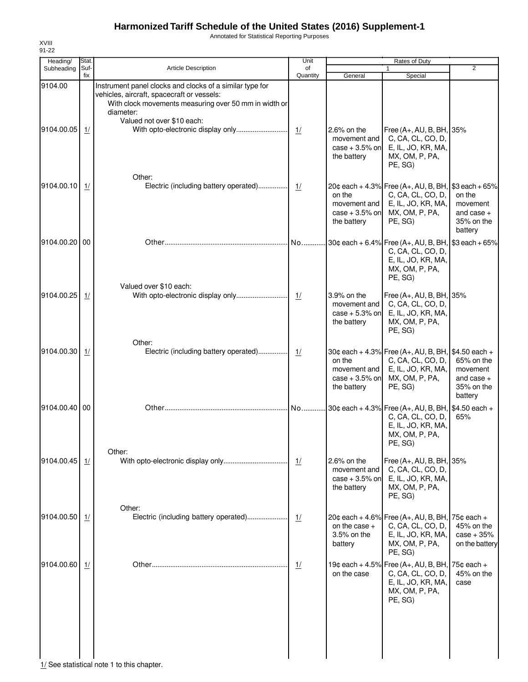Annotated for Statistical Reporting Purposes

| Heading/              | Stat.       |                                                                                                                                                                                                            | Unit           | Rates of Duty                                                     |                                                                                                                             |                                                                        |  |
|-----------------------|-------------|------------------------------------------------------------------------------------------------------------------------------------------------------------------------------------------------------------|----------------|-------------------------------------------------------------------|-----------------------------------------------------------------------------------------------------------------------------|------------------------------------------------------------------------|--|
| Subheading            | Suf-<br>fix | Article Description                                                                                                                                                                                        | of<br>Quantity | General                                                           | $\mathbf{1}$<br>Special                                                                                                     | $\overline{2}$                                                         |  |
| 9104.00<br>9104.00.05 | 1/          | Instrument panel clocks and clocks of a similar type for<br>vehicles, aircraft, spacecraft or vessels:<br>With clock movements measuring over 50 mm in width or<br>diameter:<br>Valued not over \$10 each: | 1/             | $2.6\%$ on the<br>movement and<br>case $+3.5%$ on<br>the battery  | Free (A+, AU, B, BH, 35%<br>C, CA, CL, CO, D,<br>E, IL, JO, KR, MA,<br>MX, OM, P, PA,<br>PE, SG)                            |                                                                        |  |
| 9104.00.10            | 1/          | Other:<br>Electric (including battery operated)                                                                                                                                                            | 1/             | on the<br>movement and<br>case $+3.5%$ on<br>the battery          | 20¢ each + 4.3% Free (A+, AU, B, BH, \$3 each + 65%<br>C, CA, CL, CO, D,<br>E, IL, JO, KR, MA,<br>MX, OM, P, PA,<br>PE, SG) | on the<br>movement<br>and case $+$<br>35% on the<br>battery            |  |
| 9104.00.20 00         |             |                                                                                                                                                                                                            | No             |                                                                   | 30¢ each + 6.4% Free (A+, AU, B, BH, \$3 each + 65%<br>C, CA, CL, CO, D,<br>E, IL, JO, KR, MA,<br>MX, OM, P, PA,<br>PE, SG) |                                                                        |  |
| 9104.00.25            | 1/          | Valued over \$10 each:                                                                                                                                                                                     | 1/             | 3.9% on the<br>movement and<br>case $+5.3%$ on<br>the battery     | Free (A+, AU, B, BH, 35%<br>C, CA, CL, CO, D,<br>E, IL, JO, KR, MA,<br>MX, OM, P, PA,<br>PE, SG)                            |                                                                        |  |
| 9104.00.30            | 1/          | Other:<br>Electric (including battery operated)                                                                                                                                                            | 1/             | on the<br>movement and<br>case $+3.5%$ on<br>the battery          | 30¢ each + 4.3% Free (A+, AU, B, BH, \$4.50 each +<br>C, CA, CL, CO, D,<br>E, IL, JO, KR, MA,<br>MX, OM, P, PA,<br>PE, SG)  | 65% on the<br>movement<br>and case $+$<br>35% on the<br>battery        |  |
| 9104.00.40 00         |             |                                                                                                                                                                                                            | No             |                                                                   | 30¢ each + 4.3% Free (A+, AU, B, BH, \$4.50 each +<br>C, CA, CL, CO, D,<br>E, IL, JO, KR, MA,<br>MX, OM, P, PA,<br>PE, SG)  | 65%                                                                    |  |
| 9104.00.45            | 1/          | Other:                                                                                                                                                                                                     | 1/             | $2.6\%$ on the<br>movement and<br>$case + 3.5%$ on<br>the battery | Free (A+, AU, B, BH, 35%<br>C, CA, CL, CO, D,<br>E, IL, JO, KR, MA,<br>MX, OM, P, PA,<br>PE, SG)                            |                                                                        |  |
| 9104.00.50            | 1/          | Other:<br>Electric (including battery operated)                                                                                                                                                            | 1/             | on the case $+$<br>3.5% on the<br>battery                         | 20¢ each + 4.6% Free $(A+, AU, B, BH,$<br>C, CA, CL, CO, D,<br>E, IL, JO, KR, MA,<br>MX, OM, P, PA,<br>PE, SG)              | 75 $\texttt{c}$ each +<br>45% on the<br>$case + 35%$<br>on the battery |  |
| 9104.00.60            | 1/          |                                                                                                                                                                                                            | 1/             | on the case                                                       | 19¢ each + 4.5% Free (A+, AU, B, BH,<br>C, CA, CL, CO, D,<br>E, IL, JO, KR, MA,<br>MX, OM, P, PA,<br>PE, SG)                | $75¢$ each +<br>45% on the<br>case                                     |  |

1/ See statistical note 1 to this chapter.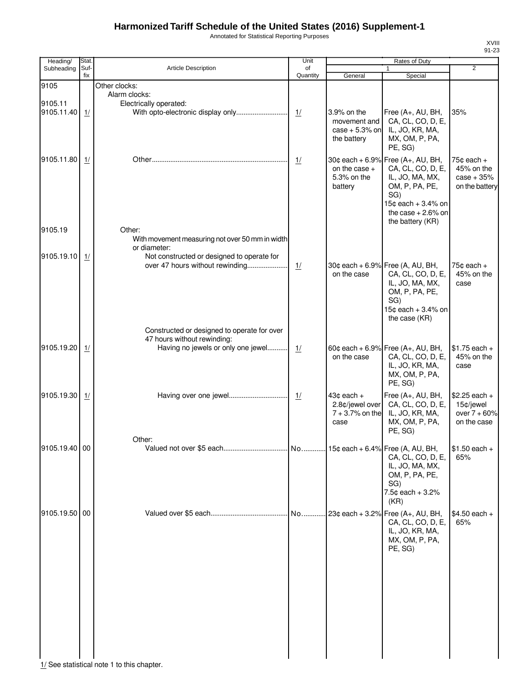Annotated for Statistical Reporting Purposes

| Heading/      | Stat.       |                                                 | Unit           |                   | Rates of Duty                          |                 |
|---------------|-------------|-------------------------------------------------|----------------|-------------------|----------------------------------------|-----------------|
| Subheading    | Suf-<br>fix | <b>Article Description</b>                      | of<br>Quantity | General           | 1<br>Special                           | $\overline{2}$  |
| 9105          |             | Other clocks:                                   |                |                   |                                        |                 |
|               |             |                                                 |                |                   |                                        |                 |
|               |             | Alarm clocks:                                   |                |                   |                                        |                 |
| 9105.11       |             | Electrically operated:                          |                |                   |                                        |                 |
| 9105.11.40    | 1/          |                                                 |                | 3.9% on the       | Free (A+, AU, BH,                      | 35%             |
|               |             |                                                 |                | movement and      | CA, CL, CO, D, E,                      |                 |
|               |             |                                                 |                | $case + 5.3%$ on  | IL, JO, KR, MA,                        |                 |
|               |             |                                                 |                | the battery       | MX, OM, P, PA,                         |                 |
|               |             |                                                 |                |                   | PE, SG)                                |                 |
|               |             |                                                 |                |                   |                                        |                 |
| 9105.11.80    | 1/          |                                                 | 1/             |                   | 30¢ each + 6.9% Free $(A_{+}, AU, BH,$ | $75¢$ each +    |
|               |             |                                                 |                | on the case $+$   | CA, CL, CO, D, E,                      | 45% on the      |
|               |             |                                                 |                | 5.3% on the       | IL, JO, MA, MX,                        | $case + 35%$    |
|               |             |                                                 |                | battery           | OM, P, PA, PE,                         | on the battery  |
|               |             |                                                 |                |                   | SG)                                    |                 |
|               |             |                                                 |                |                   | 15¢ each + 3.4% on                     |                 |
|               |             |                                                 |                |                   | the case $+2.6\%$ on                   |                 |
|               |             |                                                 |                |                   |                                        |                 |
|               |             |                                                 |                |                   | the battery (KR)                       |                 |
| 9105.19       |             | Other:                                          |                |                   |                                        |                 |
|               |             | With movement measuring not over 50 mm in width |                |                   |                                        |                 |
|               |             | or diameter:                                    |                |                   |                                        |                 |
| 9105.19.10    | 1/          | Not constructed or designed to operate for      |                |                   |                                        |                 |
|               |             | over 47 hours without rewinding                 | 1/             |                   | 30¢ each + 6.9% Free (A, AU, BH,       | 75 $¢$ each $+$ |
|               |             |                                                 |                | on the case       | CA, CL, CO, D, E,                      | 45% on the      |
|               |             |                                                 |                |                   | IL, JO, MA, MX,                        | case            |
|               |             |                                                 |                |                   |                                        |                 |
|               |             |                                                 |                |                   | OM, P, PA, PE,                         |                 |
|               |             |                                                 |                |                   | SG)                                    |                 |
|               |             |                                                 |                |                   | 15¢ each + 3.4% on                     |                 |
|               |             |                                                 |                |                   | the case (KR)                          |                 |
|               |             | Constructed or designed to operate for over     |                |                   |                                        |                 |
|               |             | 47 hours without rewinding:                     |                |                   |                                        |                 |
|               |             |                                                 |                |                   |                                        |                 |
| 9105.19.20    | 1/          | Having no jewels or only one jewel              | 1/             |                   | 60¢ each + 6.9% Free $(A_{+}, AU, BH,$ | $$1.75$ each +  |
|               |             |                                                 |                | on the case       | CA, CL, CO, D, E,                      | 45% on the      |
|               |             |                                                 |                |                   | IL, JO, KR, MA,                        | case            |
|               |             |                                                 |                |                   | MX, OM, P, PA,                         |                 |
|               |             |                                                 |                |                   | PE, SG)                                |                 |
|               |             |                                                 |                |                   |                                        |                 |
| 9105.19.30    | 1/          |                                                 | 1/             | $43¢$ each $+$    | Free (A+, AU, BH,                      | $$2.25$ each +  |
|               |             |                                                 |                | 2.8¢/jewel over   | CA, CL, CO, D, E,                      | 15¢/jewel       |
|               |             |                                                 |                | $7 + 3.7%$ on the | IL, JO, KR, MA,                        | over $7 + 60%$  |
|               |             |                                                 |                | case              | MX, OM, P, PA,                         | on the case     |
|               |             |                                                 |                |                   | PE, SG)                                |                 |
|               |             | Other:                                          |                |                   |                                        |                 |
| 9105.19.40 00 |             |                                                 |                |                   |                                        | $$1.50$ each +  |
|               |             |                                                 |                |                   | CA, CL, CO, D, E,                      | 65%             |
|               |             |                                                 |                |                   | IL, JO, MA, MX,                        |                 |
|               |             |                                                 |                |                   | OM, P, PA, PE,                         |                 |
|               |             |                                                 |                |                   |                                        |                 |
|               |             |                                                 |                |                   | SG)                                    |                 |
|               |             |                                                 |                |                   | 7.5¢ each + 3.2%                       |                 |
|               |             |                                                 |                |                   | (KR)                                   |                 |
| 9105.19.50 00 |             |                                                 | No             |                   | $23¢$ each + 3.2% Free (A+, AU, BH,    | $$4.50$ each +  |
|               |             |                                                 |                |                   | CA, CL, CO, D, E,                      | 65%             |
|               |             |                                                 |                |                   | IL, JO, KR, MA,                        |                 |
|               |             |                                                 |                |                   |                                        |                 |
|               |             |                                                 |                |                   | MX, OM, P, PA,                         |                 |
|               |             |                                                 |                |                   | PE, SG)                                |                 |
|               |             |                                                 |                |                   |                                        |                 |
|               |             |                                                 |                |                   |                                        |                 |
|               |             |                                                 |                |                   |                                        |                 |
|               |             |                                                 |                |                   |                                        |                 |
|               |             |                                                 |                |                   |                                        |                 |
|               |             |                                                 |                |                   |                                        |                 |
|               |             |                                                 |                |                   |                                        |                 |
|               |             |                                                 |                |                   |                                        |                 |
|               |             |                                                 |                |                   |                                        |                 |
|               |             |                                                 |                |                   |                                        |                 |
|               |             |                                                 |                |                   |                                        |                 |
|               |             |                                                 |                |                   |                                        |                 |
|               |             |                                                 |                |                   |                                        |                 |

 $\frac{1}{1}$  See statistical note 1 to this chapter.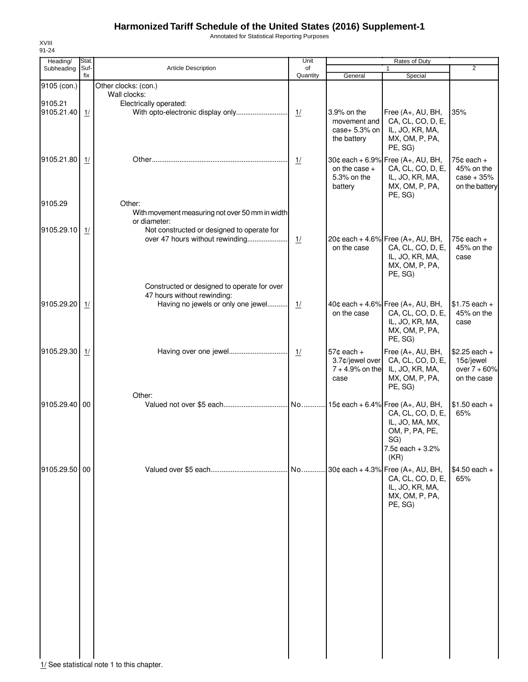Annotated for Statistical Reporting Purposes

| Heading/              | Stat.       |                                                                                                                  | Unit           | Rates of Duty                                                  |                                                                                                        |                                                                |  |
|-----------------------|-------------|------------------------------------------------------------------------------------------------------------------|----------------|----------------------------------------------------------------|--------------------------------------------------------------------------------------------------------|----------------------------------------------------------------|--|
| Subheading            | Suf-<br>fix | Article Description                                                                                              | of<br>Quantity | General                                                        | 1<br>Special                                                                                           | $\overline{2}$                                                 |  |
| 9105 (con.)           |             | Other clocks: (con.)<br>Wall clocks:                                                                             |                |                                                                |                                                                                                        |                                                                |  |
| 9105.21<br>9105.21.40 | 1/          | Electrically operated:<br>With opto-electronic display only                                                      | 1/             | 3.9% on the<br>movement and<br>case+ $5.3\%$ on<br>the battery | Free (A+, AU, BH,<br>CA, CL, CO, D, E,<br>IL, JO, KR, MA,<br>MX, OM, P, PA,<br>PE, SG)                 | 35%                                                            |  |
| 9105.21.80            | 1/          |                                                                                                                  | 1/             | on the case $+$<br>5.3% on the<br>battery                      | 30¢ each + 6.9% Free (A+, AU, BH,<br>CA, CL, CO, D, E,<br>IL, JO, KR, MA,<br>MX, OM, P, PA,<br>PE, SG) | $75¢$ each $+$<br>45% on the<br>$case + 35%$<br>on the battery |  |
| 9105.29               |             | Other:<br>With movement measuring not over 50 mm in width<br>or diameter:                                        |                |                                                                |                                                                                                        |                                                                |  |
| 9105.29.10            | 1/          | Not constructed or designed to operate for<br>over 47 hours without rewinding                                    | 1/             | on the case                                                    | 20¢ each + 4.6% Free (A+, AU, BH,<br>CA, CL, CO, D, E,<br>IL, JO, KR, MA,<br>MX, OM, P, PA,<br>PE, SG) | 75 $\texttt{c}$ each +<br>45% on the<br>case                   |  |
| 9105.29.20            | 1/          | Constructed or designed to operate for over<br>47 hours without rewinding:<br>Having no jewels or only one jewel | 1/             | on the case                                                    | 40¢ each + 4.6% Free (A+, AU, BH,<br>CA, CL, CO, D, E,<br>IL, JO, KR, MA,<br>MX, OM, P, PA,<br>PE, SG) | $$1.75$ each +<br>45% on the<br>case                           |  |
| 9105.29.30            | 1/          | Having over one jewel                                                                                            | $\frac{1}{2}$  | $57c$ each $+$<br>3.7¢/jewel over<br>$7 + 4.9%$ on the<br>case | Free (A+, AU, BH,<br>CA, CL, CO, D, E,<br>IL, JO, KR, MA,<br>MX, OM, P, PA,<br>PE, SG)                 | $$2.25$ each +<br>15¢/jewel<br>over $7 + 60%$<br>on the case   |  |
| 9105.29.40 00         |             | Other:                                                                                                           |                |                                                                | CA, CL, CO, D, E,<br>IL, JO, MA, MX,<br>OM, P, PA, PE,<br>SG)<br>7.5¢ each + 3.2%<br>(KR)              | $$1.50$ each +<br>65%                                          |  |
| 9105.29.50 00         |             |                                                                                                                  | No             |                                                                | 30¢ each + 4.3% Free (A+, AU, BH,<br>CA, CL, CO, D, E,<br>IL, JO, KR, MA,<br>MX, OM, P, PA,<br>PE, SG) | $$4.50$ each +<br>65%                                          |  |

1/ See statistical note 1 to this chapter.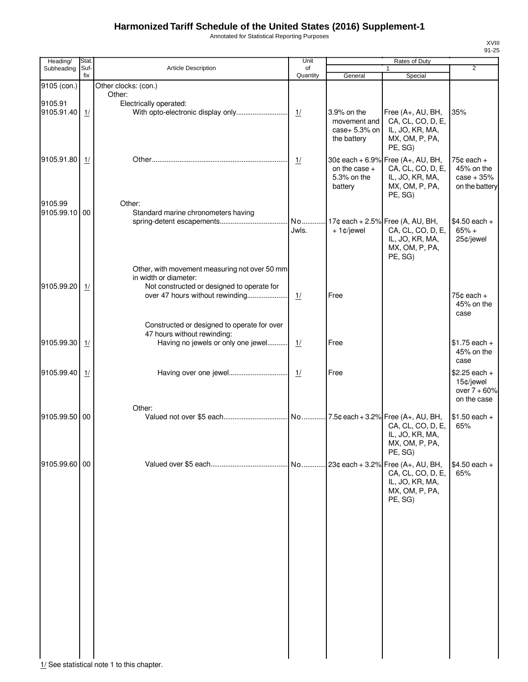Annotated for Statistical Reporting Purposes

| Heading/      | Stat.       |                                                                            | Unit           |                 | Rates of Duty                        |                              |
|---------------|-------------|----------------------------------------------------------------------------|----------------|-----------------|--------------------------------------|------------------------------|
| Subheading    | Suf-<br>fix | <b>Article Description</b>                                                 | of<br>Quantity | General         | $\mathbf{1}$<br>Special              | $\overline{2}$               |
| 9105 (con.)   |             | Other clocks: (con.)                                                       |                |                 |                                      |                              |
|               |             | Other:                                                                     |                |                 |                                      |                              |
| 9105.91       |             | Electrically operated:                                                     |                |                 |                                      |                              |
| 9105.91.40    | 1/          |                                                                            | 1/             | 3.9% on the     | Free (A+, AU, BH,                    | 35%                          |
|               |             |                                                                            |                | movement and    | CA, CL, CO, D, E,                    |                              |
|               |             |                                                                            |                | case+ 5.3% on   | IL, JO, KR, MA,                      |                              |
|               |             |                                                                            |                | the battery     | MX, OM, P, PA,                       |                              |
|               |             |                                                                            |                |                 | PE, SG)                              |                              |
| 9105.91.80    | 1/          |                                                                            | 1/             |                 | 30¢ each + 6.9% Free (A+, AU, BH,    | $75¢$ each $+$               |
|               |             |                                                                            |                | on the case $+$ | CA, CL, CO, D, E,                    | 45% on the                   |
|               |             |                                                                            |                | 5.3% on the     | IL, JO, KR, MA,                      | $case + 35%$                 |
|               |             |                                                                            |                | battery         | MX, OM, P, PA,<br>PE, SG)            | on the battery               |
| 9105.99       |             | Other:                                                                     |                |                 |                                      |                              |
| 9105.99.10 00 |             | Standard marine chronometers having                                        |                |                 |                                      |                              |
|               |             |                                                                            | No             |                 | 17¢ each + 2.5% Free (A, AU, BH,     | $$4.50$ each +               |
|               |             |                                                                            | Jwls.          | $+1¢$ jewel     | CA, CL, CO, D, E,                    | $65% +$                      |
|               |             |                                                                            |                |                 | IL, JO, KR, MA,                      | 25¢/jewel                    |
|               |             |                                                                            |                |                 | MX, OM, P, PA,                       |                              |
|               |             |                                                                            |                |                 | PE, SG)                              |                              |
|               |             | Other, with movement measuring not over 50 mm                              |                |                 |                                      |                              |
|               |             | in width or diameter:                                                      |                |                 |                                      |                              |
| 9105.99.20    | 1/          | Not constructed or designed to operate for                                 |                |                 |                                      |                              |
|               |             | over 47 hours without rewinding                                            | 1/             | Free            |                                      | $75¢$ each $+$<br>45% on the |
|               |             |                                                                            |                |                 |                                      | case                         |
|               |             |                                                                            |                |                 |                                      |                              |
|               |             | Constructed or designed to operate for over<br>47 hours without rewinding: |                |                 |                                      |                              |
| 9105.99.30    | 1/          | Having no jewels or only one jewel                                         | 1/             | Free            |                                      | $$1.75$ each +               |
|               |             |                                                                            |                |                 |                                      | 45% on the                   |
|               |             |                                                                            |                |                 |                                      | case                         |
| 9105.99.40    | 1/          |                                                                            | 1/             | Free            |                                      | $$2.25$ each +               |
|               |             |                                                                            |                |                 |                                      | 15¢/jewel                    |
|               |             |                                                                            |                |                 |                                      | over $7 + 60%$               |
|               |             |                                                                            |                |                 |                                      | on the case                  |
|               |             | Other:                                                                     |                |                 |                                      |                              |
| 9105.99.50 00 |             |                                                                            |                |                 |                                      | $$1.50$ each +<br>65%        |
|               |             |                                                                            |                |                 | CA, CL, CO, D, E,<br>IL, JO, KR, MA, |                              |
|               |             |                                                                            |                |                 | MX, OM, P, PA,                       |                              |
|               |             |                                                                            |                |                 | PE, SG)                              |                              |
| 9105.99.60 00 |             |                                                                            |                |                 | No 23¢ each + 3.2% Free (A+, AU, BH, | $$4.50$ each +               |
|               |             |                                                                            |                |                 | CA, CL, CO, D, E,                    | 65%                          |
|               |             |                                                                            |                |                 | IL, JO, KR, MA,                      |                              |
|               |             |                                                                            |                |                 | MX, OM, P, PA,                       |                              |
|               |             |                                                                            |                |                 | PE, SG)                              |                              |
|               |             |                                                                            |                |                 |                                      |                              |
|               |             |                                                                            |                |                 |                                      |                              |
|               |             |                                                                            |                |                 |                                      |                              |
|               |             |                                                                            |                |                 |                                      |                              |
|               |             |                                                                            |                |                 |                                      |                              |
|               |             |                                                                            |                |                 |                                      |                              |
|               |             |                                                                            |                |                 |                                      |                              |
|               |             |                                                                            |                |                 |                                      |                              |
|               |             |                                                                            |                |                 |                                      |                              |
|               |             |                                                                            |                |                 |                                      |                              |
|               |             |                                                                            |                |                 |                                      |                              |
|               |             |                                                                            |                |                 |                                      |                              |
|               |             |                                                                            |                |                 |                                      |                              |
|               |             |                                                                            |                |                 |                                      |                              |
|               |             |                                                                            |                |                 |                                      |                              |
|               |             |                                                                            |                |                 |                                      |                              |

1/ See statistical note 1 to this chapter.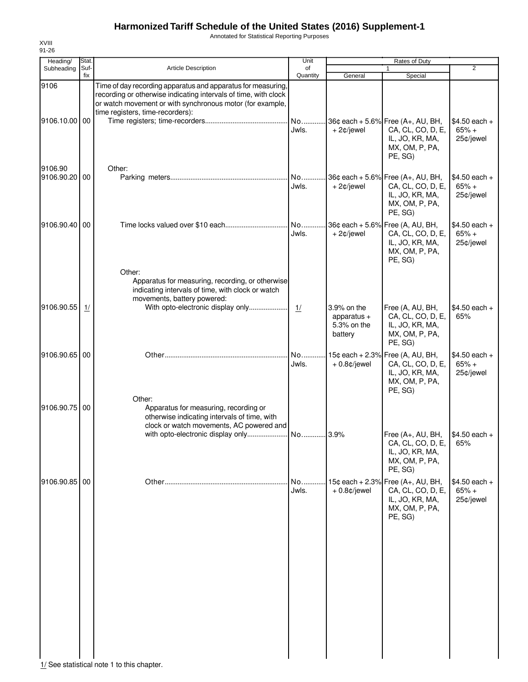Annotated for Statistical Reporting Purposes

| Heading/              | Stat.       |                                                                                                                                                                                                                                  | Unit           |                                                        | Rates of Duty                                                                                          |                                        |
|-----------------------|-------------|----------------------------------------------------------------------------------------------------------------------------------------------------------------------------------------------------------------------------------|----------------|--------------------------------------------------------|--------------------------------------------------------------------------------------------------------|----------------------------------------|
| Subheading            | Suf-<br>fix | <b>Article Description</b>                                                                                                                                                                                                       | οf<br>Quantity | General                                                | $\mathbf{1}$<br>Special                                                                                | $\overline{2}$                         |
| 9106                  |             | Time of day recording apparatus and apparatus for measuring,<br>recording or otherwise indicating intervals of time, with clock<br>or watch movement or with synchronous motor (for example,<br>time registers, time-recorders): |                |                                                        |                                                                                                        |                                        |
| 9106.10.00 00         |             |                                                                                                                                                                                                                                  | No<br>Jwls.    | $+2¢$ /jewel                                           | 36¢ each + 5.6% Free (A+, AU, BH,<br>CA, CL, CO, D, E,<br>IL, JO, KR, MA,<br>MX, OM, P, PA,<br>PE, SG) | $$4.50$ each +<br>$65% +$<br>25¢/jewel |
| 9106.90<br>9106.90.20 | 00          | Other:                                                                                                                                                                                                                           | No<br>Jwls.    | $+2¢$ /jewel                                           | 36¢ each + 5.6% Free (A+, AU, BH,<br>CA, CL, CO, D, E,<br>IL, JO, KR, MA,<br>MX, OM, P, PA,<br>PE, SG) | $$4.50$ each +<br>$65% +$<br>25¢/jewel |
| 9106.90.40            | 00          | Other:                                                                                                                                                                                                                           | No<br>Jwls.    | + 2¢/jewel                                             | 36¢ each + 5.6% Free (A, AU, BH,<br>CA, CL, CO, D, E,<br>IL, JO, KR, MA,<br>MX, OM, P, PA,<br>PE, SG)  | $$4.50$ each +<br>$65% +$<br>25¢/jewel |
| 9106.90.55            | 1/          | Apparatus for measuring, recording, or otherwise<br>indicating intervals of time, with clock or watch<br>movements, battery powered:<br>With opto-electronic display only                                                        | 1/             | 3.9% on the<br>apparatus $+$<br>5.3% on the<br>battery | Free (A, AU, BH,<br>CA, CL, CO, D, E,<br>IL, JO, KR, MA,<br>MX, OM, P, PA,<br>PE, SG)                  | $$4.50$ each +<br>65%                  |
| 9106.90.65            | 00          |                                                                                                                                                                                                                                  | No<br>Jwls.    | $+0.8¢$ /jewel                                         | 15¢ each + 2.3% Free (A, AU, BH,<br>CA, CL, CO, D, E,<br>IL, JO, KR, MA,<br>MX, OM, P, PA,<br>PE, SG)  | $$4.50$ each +<br>$65% +$<br>25¢/jewel |
| 9106.90.75            | 00          | Other:<br>Apparatus for measuring, recording or<br>otherwise indicating intervals of time, with<br>clock or watch movements, AC powered and                                                                                      |                |                                                        | Free (A+, AU, BH,<br>CA, CL, CO, D, E,<br>IL, JO, KR, MA,<br>MX, OM, P, PA,<br>PE, SG)                 | $$4.50$ each +<br>65%                  |
| 9106.90.85 00         |             |                                                                                                                                                                                                                                  | No<br>Jwls.    | $+0.8¢$ /jewel                                         | 15¢ each + 2.3% Free (A+, AU, BH,<br>CA, CL, CO, D, E,<br>IL, JO, KR, MA,<br>MX, OM, P, PA,<br>PE, SG) | $$4.50$ each +<br>$65% +$<br>25¢/jewel |

XVIII 91-26

 $1/$  See statistical note 1 to this chapter.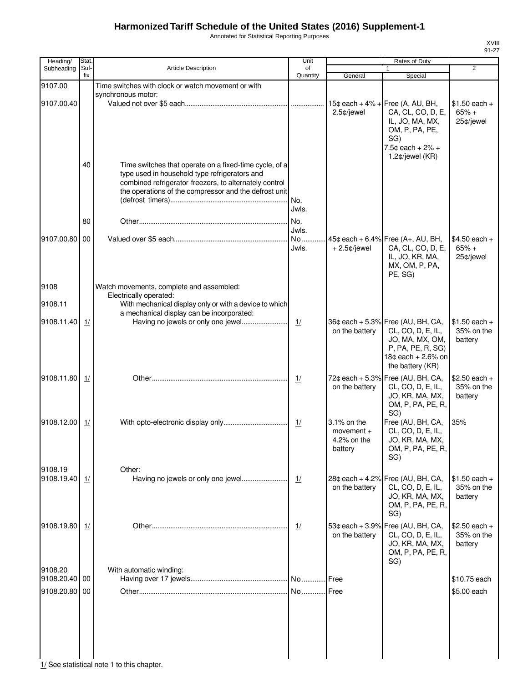Annotated for Statistical Reporting Purposes

| Heading/      | Stat.       |                                                                                                                                                                                                                            | Unit           |                                                       | Rates of Duty                                                                                                                 |                                         |
|---------------|-------------|----------------------------------------------------------------------------------------------------------------------------------------------------------------------------------------------------------------------------|----------------|-------------------------------------------------------|-------------------------------------------------------------------------------------------------------------------------------|-----------------------------------------|
| Subheading    | Suf-<br>fix | <b>Article Description</b>                                                                                                                                                                                                 | of<br>Quantity | General                                               | 1<br>Special                                                                                                                  | $\overline{2}$                          |
| 9107.00       |             | Time switches with clock or watch movement or with                                                                                                                                                                         |                |                                                       |                                                                                                                               |                                         |
|               |             | synchronous motor:                                                                                                                                                                                                         |                |                                                       |                                                                                                                               |                                         |
| 9107.00.40    |             |                                                                                                                                                                                                                            |                | 2.5¢/jewel                                            | 15¢ each + $4\%$ + Free (A, AU, BH,<br>CA, CL, CO, D, E,<br>IL, JO, MA, MX,<br>OM, P, PA, PE,<br>SG)<br>$7.5¢$ each + $2\%$ + | $$1.50$ each +<br>$65% +$<br>25¢/jewel  |
|               | 40          | Time switches that operate on a fixed-time cycle, of a<br>type used in household type refrigerators and<br>combined refrigerator-freezers, to alternately control<br>the operations of the compressor and the defrost unit | No.<br>Jwls.   |                                                       | 1.2 $¢$ /jewel (KR)                                                                                                           |                                         |
|               | 80          |                                                                                                                                                                                                                            | No.<br>Jwls.   |                                                       |                                                                                                                               |                                         |
| 9107.00.80 00 |             |                                                                                                                                                                                                                            | No<br>Jwls.    | $+2.5$ ¢/jewel                                        | 45¢ each + 6.4% Free $(A+, AU, BH,$<br>CA, CL, CO, D, E,<br>IL, JO, KR, MA,<br>MX, OM, P, PA,<br>PE, SG)                      | $$4.50$ each +<br>$65% +$<br>25¢/jewel  |
| 9108          |             | Watch movements, complete and assembled:                                                                                                                                                                                   |                |                                                       |                                                                                                                               |                                         |
| 9108.11       |             | Electrically operated:<br>With mechanical display only or with a device to which                                                                                                                                           |                |                                                       |                                                                                                                               |                                         |
| 9108.11.40    | 1/          | a mechanical display can be incorporated:<br>Having no jewels or only one jewel                                                                                                                                            | 1/             | on the battery                                        | 36¢ each + 5.3% Free (AU, BH, CA,<br>CL, CO, D, E, IL,                                                                        | $$1.50$ each +<br>35% on the            |
|               |             |                                                                                                                                                                                                                            |                |                                                       | JO, MA, MX, OM,<br>P, PA, PE, R, SG)<br>18¢ each + 2.6% on<br>the battery (KR)                                                | battery                                 |
| 9108.11.80    | 1/          |                                                                                                                                                                                                                            | $\frac{1}{2}$  | on the battery                                        | 72¢ each + 5.3% Free (AU, BH, CA,<br>CL, CO, D, E, IL,<br>JO, KR, MA, MX,<br>OM, P, PA, PE, R,<br>SG)                         | $$2.50$ each +<br>35% on the<br>battery |
| 9108.12.00    | 1/          |                                                                                                                                                                                                                            | 1/             | 3.1% on the<br>$momentum +$<br>4.2% on the<br>battery | Free (AU, BH, CA,<br>CL, CO, D, E, IL,<br>JO, KR, MA, MX,<br>OM, P, PA, PE, R,<br>SG)                                         | 35%                                     |
| 9108.19       |             | Other:                                                                                                                                                                                                                     |                |                                                       |                                                                                                                               |                                         |
| 9108.19.40    | 1/          |                                                                                                                                                                                                                            | 1/             | on the battery                                        | 28¢ each + 4.2% Free (AU, BH, CA,<br>CL, CO, D, E, IL,<br>JO, KR, MA, MX,<br>OM, P, PA, PE, R,<br>SG)                         | $$1.50$ each +<br>35% on the<br>battery |
| 9108.19.80    | 1/          |                                                                                                                                                                                                                            | 1/             | on the battery                                        | 53¢ each + 3.9% Free (AU, BH, CA,<br>CL, CO, D, E, IL,<br>JO, KR, MA, MX,<br>OM, P, PA, PE, R,<br>SG)                         | $$2.50$ each +<br>35% on the<br>battery |
| 9108.20       |             | With automatic winding:                                                                                                                                                                                                    |                |                                                       |                                                                                                                               |                                         |
| 9108.20.40 00 |             |                                                                                                                                                                                                                            |                |                                                       |                                                                                                                               | \$10.75 each                            |
| 9108.20.80 00 |             |                                                                                                                                                                                                                            |                |                                                       |                                                                                                                               | \$5.00 each                             |
|               |             |                                                                                                                                                                                                                            |                |                                                       |                                                                                                                               |                                         |
|               |             |                                                                                                                                                                                                                            |                |                                                       |                                                                                                                               |                                         |

 $\begin{array}{c|c} | & | & | \ \hline \end{array}$  1/ See statistical note 1 to this chapter.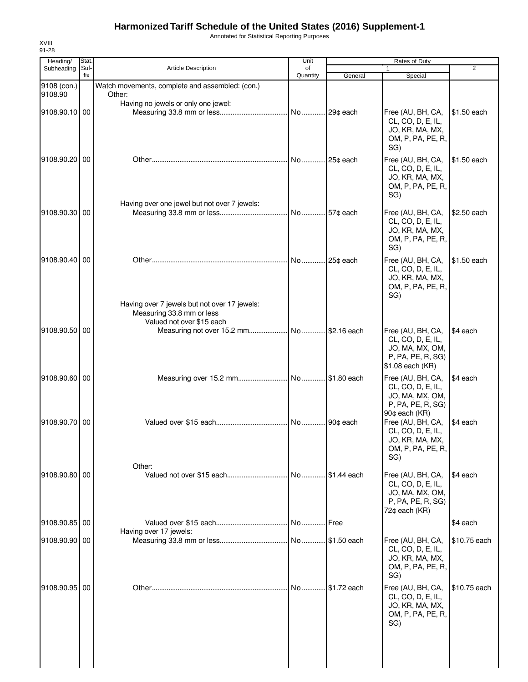Annotated for Statistical Reporting Purposes

| Heading/               | Stat.       |                                                           | Unit           |                | Rates of Duty                                                                                       |              |
|------------------------|-------------|-----------------------------------------------------------|----------------|----------------|-----------------------------------------------------------------------------------------------------|--------------|
| Subheading             | Suf-<br>fix | <b>Article Description</b>                                | of<br>Quantity | General        | 1<br>Special                                                                                        | 2            |
| 9108 (con.)<br>9108.90 |             | Watch movements, complete and assembled: (con.)<br>Other: |                |                |                                                                                                     |              |
| 9108.90.10 00          |             | Having no jewels or only one jewel:                       |                |                | Free (AU, BH, CA,<br>CL, CO, D, E, IL,<br>JO, KR, MA, MX,<br>OM, P, PA, PE, R,<br>SG)               | \$1.50 each  |
| 9108.90.20 00          |             |                                                           | No 25¢ each    |                | Free (AU, BH, CA,<br>CL, CO, D, E, IL,<br>JO, KR, MA, MX,<br>OM, P, PA, PE, R,<br>SG)               | \$1.50 each  |
| 9108.90.30 00          |             | Having over one jewel but not over 7 jewels:              |                |                | Free (AU, BH, CA,<br>CL, CO, D, E, IL,<br>JO, KR, MA, MX,<br>OM, P, PA, PE, R,<br>SG)               | \$2.50 each  |
| 9108.90.40 00          |             | Having over 7 jewels but not over 17 jewels:              | No             | 25¢ each       | Free (AU, BH, CA,<br>CL, CO, D, E, IL,<br>JO, KR, MA, MX,<br>OM, P, PA, PE, R,<br>SG)               | \$1.50 each  |
|                        |             | Measuring 33.8 mm or less<br>Valued not over \$15 each    |                |                |                                                                                                     |              |
| 9108.90.50   00        |             |                                                           |                |                | Free (AU, BH, CA,<br>CL, CO, D, E, IL,<br>JO, MA, MX, OM,<br>P, PA, PE, R, SG)<br>\$1.08 each (KR)  | \$4 each     |
| 9108.90.60 00          |             |                                                           |                |                | Free (AU, BH, CA,<br>CL, CO, D, E, IL,<br>JO, MA, MX, OM,<br>P, PA, PE, R, SG)<br>90¢ each (KR)     | \$4 each     |
| 9108.90.70 00          |             | Other:                                                    |                |                | Free (AU, BH, CA,<br>CL, CO, D, E, IL,<br>JO, KR, MA, MX,<br>OM, P, PA, PE, R,<br>SG)               | \$4 each     |
| 9108.90.80 00          |             |                                                           |                | No \$1.44 each | Free (AU, BH, CA,<br>CL, CO, D, E, IL,<br>JO, MA, MX, OM,<br>P, PA, PE, R, SG)<br>$72¢$ each $(KR)$ | \$4 each     |
| 9108.90.85 00          |             | Having over 17 jewels:                                    | No Free        |                |                                                                                                     | \$4 each     |
| 9108.90.90 00          |             |                                                           |                |                | Free (AU, BH, CA,<br>CL, CO, D, E, IL,<br>JO, KR, MA, MX,<br>OM, P, PA, PE, R,<br>SG)               | \$10.75 each |
| 9108.90.95 00          |             |                                                           | No             | \$1.72 each    | Free (AU, BH, CA,<br>CL, CO, D, E, IL,<br>JO, KR, MA, MX,<br>OM, P, PA, PE, R,<br>SG)               | \$10.75 each |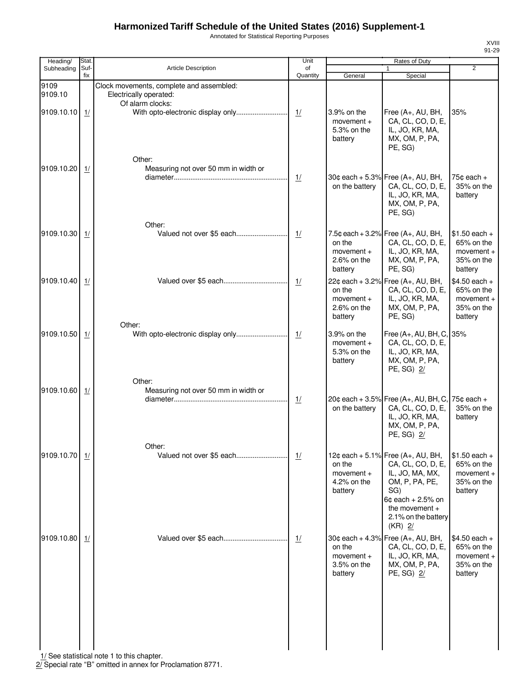Annotated for Statistical Reporting Purposes

XVIII 91-29

| Heading/        | Stat.       |                                                                                        | Unit           | Rates of Duty                                         |                                                                                                                                                                                   |                                                                       |
|-----------------|-------------|----------------------------------------------------------------------------------------|----------------|-------------------------------------------------------|-----------------------------------------------------------------------------------------------------------------------------------------------------------------------------------|-----------------------------------------------------------------------|
| Subheading      | Suf-<br>fix | <b>Article Description</b>                                                             | of<br>Quantity | General                                               | $\mathbf{1}$<br>Special                                                                                                                                                           | $\overline{2}$                                                        |
| 9109<br>9109.10 |             | Clock movements, complete and assembled:<br>Electrically operated:<br>Of alarm clocks: |                |                                                       |                                                                                                                                                                                   |                                                                       |
| 9109.10.10      | 1/          | With opto-electronic display only<br>Other:                                            | 1/             | 3.9% on the<br>movement $+$<br>5.3% on the<br>battery | Free (A+, AU, BH,<br>CA, CL, CO, D, E,<br>IL, JO, KR, MA,<br>MX, OM, P, PA,<br>PE, SG)                                                                                            | 35%                                                                   |
| 9109.10.20      | 1/          | Measuring not over 50 mm in width or                                                   | 1/             | on the battery                                        | 30¢ each + 5.3% Free $(A+, AU, BH,$<br>CA, CL, CO, D, E,<br>IL, JO, KR, MA,<br>MX, OM, P, PA,<br>PE, SG)                                                                          | 75 $\texttt{c}$ each +<br>35% on the<br>battery                       |
| 9109.10.30      | 1/          | Other:                                                                                 | 1/             | on the<br>$momentum +$<br>$2.6\%$ on the<br>battery   | 7.5¢ each + 3.2% Free $(A_{+}, AU, BH,$<br>CA, CL, CO, D, E,<br>IL, JO, KR, MA,<br>MX, OM, P, PA,<br>PE, SG)                                                                      | $$1.50$ each +<br>65% on the<br>movement $+$<br>35% on the<br>battery |
| 9109.10.40      | 1/          |                                                                                        | 1/             | on the<br>$momentum +$<br>$2.6\%$ on the<br>battery   | 22¢ each + 3.2% Free (A+, AU, BH,<br>CA, CL, CO, D, E,<br>IL, JO, KR, MA,<br>MX, OM, P, PA,<br>PE, SG)                                                                            | $$4.50$ each +<br>65% on the<br>$momentum +$<br>35% on the<br>battery |
| 9109.10.50      | 1/          | Other:<br>Other:                                                                       | 1/             | 3.9% on the<br>movement $+$<br>5.3% on the<br>battery | Free (A+, AU, BH, C,<br>CA, CL, CO, D, E,<br>IL, JO, KR, MA,<br>MX, OM, P, PA,<br>PE, SG) 2/                                                                                      | 35%                                                                   |
| 9109.10.60      | 1/          | Measuring not over 50 mm in width or                                                   | 1/             | on the battery                                        | 20¢ each + 3.5% Free (A+, AU, BH, C,<br>CA, CL, CO, D, E,<br>IL, JO, KR, MA,<br>MX, OM, P, PA,<br>PE, SG) 2/                                                                      | 75 $\texttt{c}$ each +<br>35% on the<br>battery                       |
| 9109.10.70      | 1/          | Other:<br>Valued not over \$5 each                                                     | 1/             | on the<br>$momentum +$<br>4.2% on the<br>battery      | 12¢ each + 5.1% Free (A+, AU, BH,<br>CA, CL, CO, D, E,<br>IL, JO, MA, MX,<br>OM, P, PA, PE,<br>SG)<br>$6¢$ each + 2.5% on<br>the movement $+$<br>2.1% on the battery<br>$(KR)$ 2/ | $$1.50$ each +<br>65% on the<br>movement $+$<br>35% on the<br>battery |
| 9109.10.80      | 1/          |                                                                                        | 1/             | on the<br>$momentum +$<br>3.5% on the<br>battery      | 30¢ each + 4.3% Free (A+, AU, BH,<br>CA, CL, CO, D, E,<br>IL, JO, KR, MA,<br>MX, OM, P, PA,<br>PE, SG) 2/                                                                         | \$4.50 each +<br>65% on the<br>movement +<br>35% on the<br>battery    |
|                 |             |                                                                                        |                |                                                       |                                                                                                                                                                                   |                                                                       |

1/ See statistical note 1 to this chapter.

2/ Special rate "B" omitted in annex for Proclamation 8771.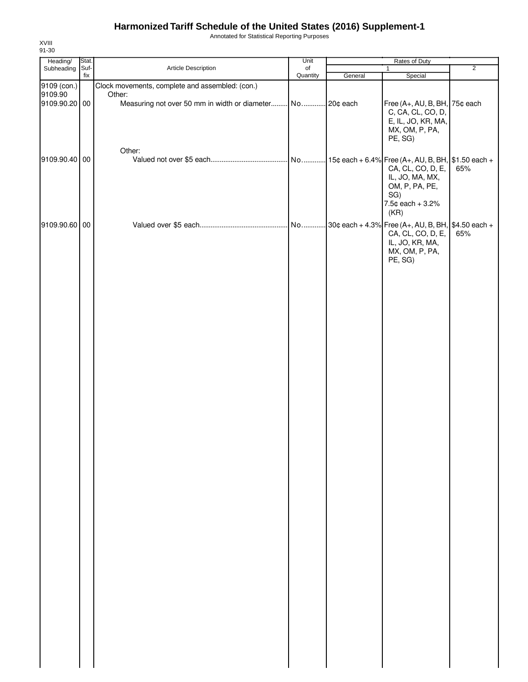Annotated for Statistical Reporting Purposes

| Heading/                 | Stat.       |                                                 | Unit           | Rates of Duty |                                                                                               |                |
|--------------------------|-------------|-------------------------------------------------|----------------|---------------|-----------------------------------------------------------------------------------------------|----------------|
| Subheading               | Suf-<br>fix | Article Description                             | of<br>Quantity | General       | $\mathbf{1}$<br>Special                                                                       | $\overline{2}$ |
| 9109 (con.)              |             | Clock movements, complete and assembled: (con.) |                |               |                                                                                               |                |
| 9109.90<br>9109.90.20 00 |             | Other:                                          |                |               | Free (A+, AU, B, BH, 75¢ each<br>C, CA, CL, CO, D,<br>E, IL, JO, KR, MA,<br>MX, OM, P, PA,    |                |
| 9109.90.40 00            |             | Other:                                          |                |               | PE, SG)<br>CA, CL, CO, D, E,<br>IL, JO, MA, MX,<br>OM, P, PA, PE,<br>SG)                      | 65%            |
| 9109.90.60 00            |             |                                                 |                |               | 7.5¢ each + 3.2%<br>(KR)<br>CA, CL, CO, D, E,<br>IL, JO, KR, MA,<br>MX, OM, P, PA,<br>PE, SG) | 65%            |
|                          |             |                                                 |                |               |                                                                                               |                |
|                          |             |                                                 |                |               |                                                                                               |                |
|                          |             |                                                 |                |               |                                                                                               |                |
|                          |             |                                                 |                |               |                                                                                               |                |
|                          |             |                                                 |                |               |                                                                                               |                |
|                          |             |                                                 |                |               |                                                                                               |                |
|                          |             |                                                 |                |               |                                                                                               |                |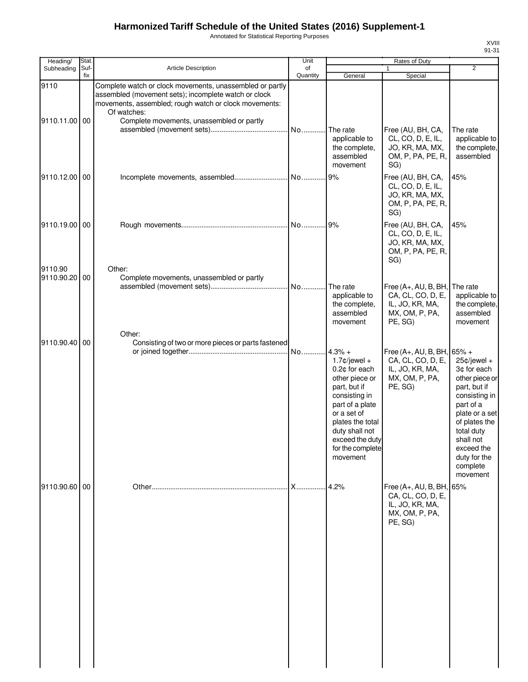Annotated for Statistical Reporting Purposes

| Heading/                 | Stat.       |                                                                                                                                                                                                                                       | Unit           |                                                                                                                                                                                                                            | Rates of Duty                                                                             |                                                                                                                                                                                                                           |
|--------------------------|-------------|---------------------------------------------------------------------------------------------------------------------------------------------------------------------------------------------------------------------------------------|----------------|----------------------------------------------------------------------------------------------------------------------------------------------------------------------------------------------------------------------------|-------------------------------------------------------------------------------------------|---------------------------------------------------------------------------------------------------------------------------------------------------------------------------------------------------------------------------|
| Subheading               | Suf-<br>fix | <b>Article Description</b>                                                                                                                                                                                                            | of<br>Quantity | General                                                                                                                                                                                                                    | $\mathbf{1}$<br>Special                                                                   | $\overline{2}$                                                                                                                                                                                                            |
| 9110<br>9110.11.00 00    |             | Complete watch or clock movements, unassembled or partly<br>assembled (movement sets); incomplete watch or clock<br>movements, assembled; rough watch or clock movements:<br>Of watches:<br>Complete movements, unassembled or partly |                | The rate<br>applicable to<br>the complete,<br>assembled<br>movement                                                                                                                                                        | Free (AU, BH, CA,<br>CL, CO, D, E, IL,<br>JO, KR, MA, MX,<br>OM, P, PA, PE, R,<br>SG)     | The rate<br>applicable to<br>the complete,<br>assembled                                                                                                                                                                   |
| 9110.12.00 00            |             |                                                                                                                                                                                                                                       |                | 9%                                                                                                                                                                                                                         | Free (AU, BH, CA,<br>CL, CO, D, E, IL,<br>JO, KR, MA, MX,<br>OM, P, PA, PE, R,<br>SG)     | 45%                                                                                                                                                                                                                       |
| 9110.19.00 00            |             |                                                                                                                                                                                                                                       |                |                                                                                                                                                                                                                            | Free (AU, BH, CA,<br>CL, CO, D, E, IL,<br>JO, KR, MA, MX,<br>OM, P, PA, PE, R,<br>SG)     | 45%                                                                                                                                                                                                                       |
| 9110.90<br>9110.90.20 00 |             | Other:<br>Complete movements, unassembled or partly                                                                                                                                                                                   |                | The rate<br>applicable to<br>the complete,<br>assembled<br>movement                                                                                                                                                        | Free (A+, AU, B, BH,<br>CA, CL, CO, D, E,<br>IL, JO, KR, MA,<br>MX, OM, P, PA,<br>PE, SG) | The rate<br>applicable to<br>the complete,<br>assembled<br>movement                                                                                                                                                       |
| 9110.90.40 00            |             | Other:<br>Consisting of two or more pieces or parts fastened                                                                                                                                                                          | No             | $4.3% +$<br>$1.7$ ¢/jewel +<br>0.2¢ for each<br>other piece or<br>part, but if<br>consisting in<br>part of a plate<br>or a set of<br>plates the total<br>duty shall not<br>exceed the duty<br>for the complete<br>movement | Free (A+, AU, B, BH,<br>CA, CL, CO, D, E,<br>IL, JO, KR, MA,<br>MX, OM, P, PA,<br>PE, SG) | $65% +$<br>25¢/jewel +<br>3¢ for each<br>other piece or<br>part, but if<br>consisting in<br>part of a<br>plate or a set<br>of plates the<br>total duty<br>shall not<br>exceed the<br>duty for the<br>complete<br>movement |
| 9110.90.60 00            |             |                                                                                                                                                                                                                                       | <b>X</b>       | 4.2%                                                                                                                                                                                                                       | Free (A+, AU, B, BH,<br>CA, CL, CO, D, E,<br>IL, JO, KR, MA,<br>MX, OM, P, PA,<br>PE, SG) | 65%                                                                                                                                                                                                                       |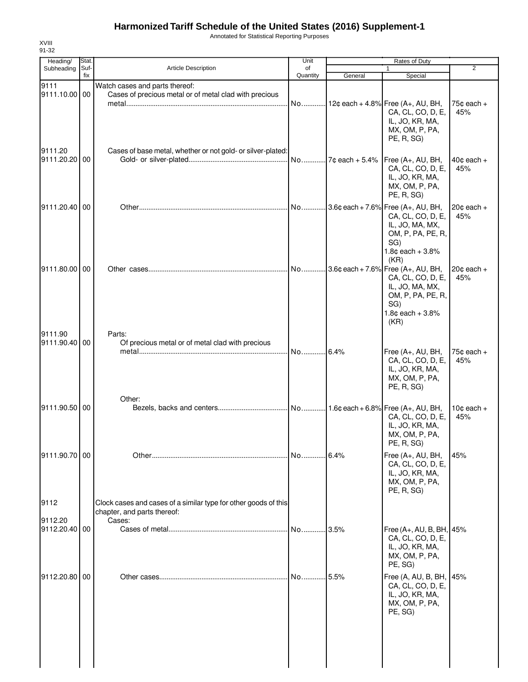Annotated for Statistical Reporting Purposes

| Heading/              | Stat.       |                                                                                          | Unit           |                  | Rates of Duty                             |                 |
|-----------------------|-------------|------------------------------------------------------------------------------------------|----------------|------------------|-------------------------------------------|-----------------|
| Subheading            | Suf-<br>fix | <b>Article Description</b>                                                               | of<br>Quantity |                  | 1                                         | $\overline{2}$  |
|                       |             |                                                                                          |                | General          | Special                                   |                 |
| 9111<br>9111.10.00 00 |             | Watch cases and parts thereof:<br>Cases of precious metal or of metal clad with precious |                |                  |                                           |                 |
|                       |             |                                                                                          |                |                  | No 12¢ each + 4.8% Free (A+, AU, BH,      | 75 $¢$ each $+$ |
|                       |             |                                                                                          |                |                  | CA, CL, CO, D, E,                         | 45%             |
|                       |             |                                                                                          |                |                  | IL, JO, KR, MA,                           |                 |
|                       |             |                                                                                          |                |                  | MX, OM, P, PA,                            |                 |
|                       |             |                                                                                          |                |                  | PE, R, SG)                                |                 |
| 9111.20               |             | Cases of base metal, whether or not gold- or silver-plated:                              |                |                  |                                           |                 |
| 9111.20.20 00         |             |                                                                                          | No             | $7¢$ each + 5.4% | Free (A+, AU, BH,                         | $40¢$ each $+$  |
|                       |             |                                                                                          |                |                  | CA, CL, CO, D, E,                         | 45%             |
|                       |             |                                                                                          |                |                  | IL, JO, KR, MA,                           |                 |
|                       |             |                                                                                          |                |                  | MX, OM, P, PA,                            |                 |
|                       |             |                                                                                          |                |                  | PE, R, SG)                                |                 |
| 9111.20.40 00         |             |                                                                                          |                |                  | No 3.6¢ each + 7.6% Free (A+, AU, BH,     | $20¢$ each $+$  |
|                       |             |                                                                                          |                |                  | CA, CL, CO, D, E,                         | 45%             |
|                       |             |                                                                                          |                |                  | IL, JO, MA, MX,                           |                 |
|                       |             |                                                                                          |                |                  | OM, P, PA, PE, R,                         |                 |
|                       |             |                                                                                          |                |                  | SG)                                       |                 |
|                       |             |                                                                                          |                |                  | $1.8¢$ each + $3.8%$                      |                 |
|                       |             |                                                                                          |                |                  | (KR)                                      |                 |
| 9111.80.00 00         |             |                                                                                          | No             |                  | . 3.6¢ each + 7.6% Free $(A_{+}, AU, BH,$ | $20$ c each +   |
|                       |             |                                                                                          |                |                  | CA, CL, CO, D, E,                         | 45%             |
|                       |             |                                                                                          |                |                  | IL, JO, MA, MX,<br>OM, P, PA, PE, R,      |                 |
|                       |             |                                                                                          |                |                  | SG)                                       |                 |
|                       |             |                                                                                          |                |                  | $1.8¢$ each + 3.8%                        |                 |
|                       |             |                                                                                          |                |                  | (KR)                                      |                 |
| 9111.90               |             | Parts:                                                                                   |                |                  |                                           |                 |
| 9111.90.40 00         |             | Of precious metal or of metal clad with precious                                         |                |                  |                                           |                 |
|                       |             |                                                                                          | No 6.4%        |                  | Free (A+, AU, BH,                         | 75 $¢$ each $+$ |
|                       |             |                                                                                          |                |                  | CA, CL, CO, D, E,                         | 45%             |
|                       |             |                                                                                          |                |                  | IL, JO, KR, MA,                           |                 |
|                       |             |                                                                                          |                |                  | MX, OM, P, PA,                            |                 |
|                       |             |                                                                                          |                |                  | PE, R, SG)                                |                 |
|                       |             | Other:                                                                                   |                |                  |                                           |                 |
| 9111.90.50 00         |             |                                                                                          |                |                  |                                           | $10¢$ each +    |
|                       |             |                                                                                          |                |                  | CA, CL, CO, D, E,                         | 45%             |
|                       |             |                                                                                          |                |                  | IL, JO, KR, MA,                           |                 |
|                       |             |                                                                                          |                |                  | MX, OM, P, PA,                            |                 |
|                       |             |                                                                                          |                |                  | PE, R, SG)                                |                 |
| 9111.90.70 00         |             |                                                                                          |                |                  | Free (A+, AU, BH,                         | 45%             |
|                       |             |                                                                                          |                |                  | CA, CL, CO, D, E,                         |                 |
|                       |             |                                                                                          |                |                  | IL, JO, KR, MA,                           |                 |
|                       |             |                                                                                          |                |                  | MX, OM, P, PA,<br>PE, R, SG)              |                 |
|                       |             |                                                                                          |                |                  |                                           |                 |
| 9112                  |             | Clock cases and cases of a similar type for other goods of this                          |                |                  |                                           |                 |
| 9112.20               |             | chapter, and parts thereof:<br>Cases:                                                    |                |                  |                                           |                 |
| 9112.20.40 00         |             |                                                                                          | No             | .3.5%            | Free (A+, AU, B, BH, 45%                  |                 |
|                       |             |                                                                                          |                |                  | CA, CL, CO, D, E,                         |                 |
|                       |             |                                                                                          |                |                  | IL, JO, KR, MA,                           |                 |
|                       |             |                                                                                          |                |                  | MX, OM, P, PA,                            |                 |
|                       |             |                                                                                          |                |                  | PE, SG)                                   |                 |
| 9112.20.80 00         |             |                                                                                          | No             | .5.5%            | Free (A, AU, B, BH, 45%                   |                 |
|                       |             |                                                                                          |                |                  | CA, CL, CO, D, E,                         |                 |
|                       |             |                                                                                          |                |                  | IL, JO, KR, MA,                           |                 |
|                       |             |                                                                                          |                |                  | MX, OM, P, PA,                            |                 |
|                       |             |                                                                                          |                |                  | PE, SG)                                   |                 |
|                       |             |                                                                                          |                |                  |                                           |                 |
|                       |             |                                                                                          |                |                  |                                           |                 |
|                       |             |                                                                                          |                |                  |                                           |                 |
|                       |             |                                                                                          |                |                  |                                           |                 |
|                       |             |                                                                                          |                |                  |                                           |                 |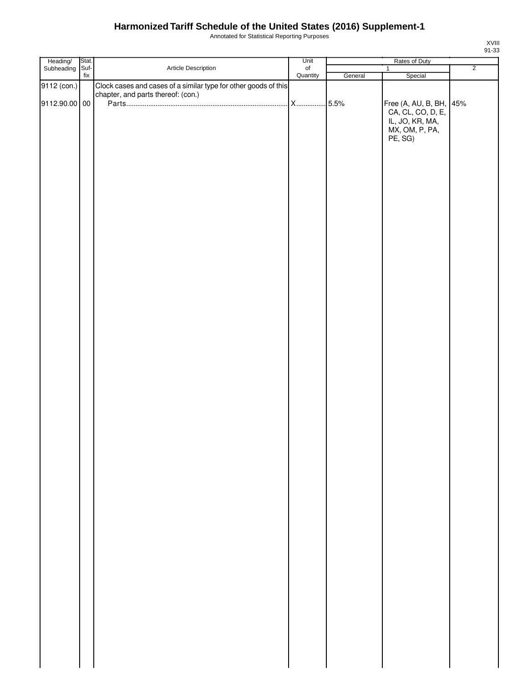Annotated for Statistical Reporting Purposes

| Heading/<br>Subheading | Stat.                            |                                                                 | Unit                  | Rates of Duty |                                              |                |
|------------------------|----------------------------------|-----------------------------------------------------------------|-----------------------|---------------|----------------------------------------------|----------------|
|                        | Suf-<br>$\operatorname{\sf fix}$ | Article Description                                             | $\circ$ f<br>Quantity |               | $\mathbf{1}$                                 | $\overline{2}$ |
|                        |                                  |                                                                 |                       | General       | Special                                      |                |
| 9112 (con.)            |                                  | Clock cases and cases of a similar type for other goods of this |                       |               |                                              |                |
|                        |                                  | chapter, and parts thereof: (con.)                              |                       |               |                                              |                |
| 9112.90.00 00          |                                  |                                                                 |                       |               | Free (A, AU, B, BH, 45%<br>CA, CL, CO, D, E, |                |
|                        |                                  |                                                                 |                       |               |                                              |                |
|                        |                                  |                                                                 |                       |               | IL, JO, KR, MA,                              |                |
|                        |                                  |                                                                 |                       |               | MX, OM, P, PA,                               |                |
|                        |                                  |                                                                 |                       |               | PE, SG)                                      |                |
|                        |                                  |                                                                 |                       |               |                                              |                |
|                        |                                  |                                                                 |                       |               |                                              |                |
|                        |                                  |                                                                 |                       |               |                                              |                |
|                        |                                  |                                                                 |                       |               |                                              |                |
|                        |                                  |                                                                 |                       |               |                                              |                |
|                        |                                  |                                                                 |                       |               |                                              |                |
|                        |                                  |                                                                 |                       |               |                                              |                |
|                        |                                  |                                                                 |                       |               |                                              |                |
|                        |                                  |                                                                 |                       |               |                                              |                |
|                        |                                  |                                                                 |                       |               |                                              |                |
|                        |                                  |                                                                 |                       |               |                                              |                |
|                        |                                  |                                                                 |                       |               |                                              |                |
|                        |                                  |                                                                 |                       |               |                                              |                |
|                        |                                  |                                                                 |                       |               |                                              |                |
|                        |                                  |                                                                 |                       |               |                                              |                |
|                        |                                  |                                                                 |                       |               |                                              |                |
|                        |                                  |                                                                 |                       |               |                                              |                |
|                        |                                  |                                                                 |                       |               |                                              |                |
|                        |                                  |                                                                 |                       |               |                                              |                |
|                        |                                  |                                                                 |                       |               |                                              |                |
|                        |                                  |                                                                 |                       |               |                                              |                |
|                        |                                  |                                                                 |                       |               |                                              |                |
|                        |                                  |                                                                 |                       |               |                                              |                |
|                        |                                  |                                                                 |                       |               |                                              |                |
|                        |                                  |                                                                 |                       |               |                                              |                |
|                        |                                  |                                                                 |                       |               |                                              |                |
|                        |                                  |                                                                 |                       |               |                                              |                |
|                        |                                  |                                                                 |                       |               |                                              |                |
|                        |                                  |                                                                 |                       |               |                                              |                |
|                        |                                  |                                                                 |                       |               |                                              |                |
|                        |                                  |                                                                 |                       |               |                                              |                |
|                        |                                  |                                                                 |                       |               |                                              |                |
|                        |                                  |                                                                 |                       |               |                                              |                |
|                        |                                  |                                                                 |                       |               |                                              |                |
|                        |                                  |                                                                 |                       |               |                                              |                |
|                        |                                  |                                                                 |                       |               |                                              |                |
|                        |                                  |                                                                 |                       |               |                                              |                |
|                        |                                  |                                                                 |                       |               |                                              |                |
|                        |                                  |                                                                 |                       |               |                                              |                |
|                        |                                  |                                                                 |                       |               |                                              |                |
|                        |                                  |                                                                 |                       |               |                                              |                |
|                        |                                  |                                                                 |                       |               |                                              |                |
|                        |                                  |                                                                 |                       |               |                                              |                |
|                        |                                  |                                                                 |                       |               |                                              |                |
|                        |                                  |                                                                 |                       |               |                                              |                |
|                        |                                  |                                                                 |                       |               |                                              |                |
|                        |                                  |                                                                 |                       |               |                                              |                |
|                        |                                  |                                                                 |                       |               |                                              |                |
|                        |                                  |                                                                 |                       |               |                                              |                |
|                        |                                  |                                                                 |                       |               |                                              |                |
|                        |                                  |                                                                 |                       |               |                                              |                |
|                        |                                  |                                                                 |                       |               |                                              |                |
|                        |                                  |                                                                 |                       |               |                                              |                |
|                        |                                  |                                                                 |                       |               |                                              |                |
|                        |                                  |                                                                 |                       |               |                                              |                |
|                        |                                  |                                                                 |                       |               |                                              |                |
|                        |                                  |                                                                 |                       |               |                                              |                |
|                        |                                  |                                                                 |                       |               |                                              |                |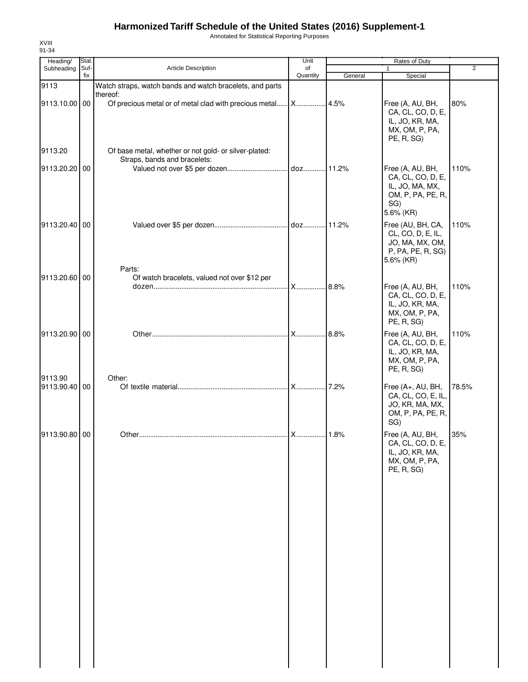Annotated for Statistical Reporting Purposes

| Heading/                 | Stat.       |                                                                   | Unit           |         | Rates of Duty                                                                                     |       |
|--------------------------|-------------|-------------------------------------------------------------------|----------------|---------|---------------------------------------------------------------------------------------------------|-------|
| Subheading               | Suf-<br>fix | <b>Article Description</b>                                        | of<br>Quantity | General | $\mathbf{1}$<br>Special                                                                           | 2     |
| 9113                     |             | Watch straps, watch bands and watch bracelets, and parts          |                |         |                                                                                                   |       |
| 9113.10.00 00<br>9113.20 |             | thereof:<br>Of base metal, whether or not gold- or silver-plated: |                |         | Free (A, AU, BH,<br>CA, CL, CO, D, E,<br>IL, JO, KR, MA,<br>MX, OM, P, PA,<br>PE, R, SG)          | 80%   |
| 9113.20.20 00            |             | Straps, bands and bracelets:                                      |                |         | Free (A, AU, BH,<br>CA, CL, CO, D, E,<br>IL, JO, MA, MX,<br>OM, P, PA, PE, R,<br>SG)<br>5.6% (KR) | 110%  |
| 9113.20.40 00            |             | Parts:                                                            |                |         | Free (AU, BH, CA,<br>CL, CO, D, E, IL,<br>JO, MA, MX, OM,<br>P, PA, PE, R, SG)<br>5.6% (KR)       | 110%  |
| 9113.20.60 00            |             | Of watch bracelets, valued not over \$12 per                      |                |         | Free (A, AU, BH,<br>CA, CL, CO, D, E,<br>IL, JO, KR, MA,<br>MX, OM, P, PA,<br>PE, R, SG)          | 110%  |
| 9113.20.90 00            |             |                                                                   | <b>X</b>       | 8.8%    | Free (A, AU, BH,<br>CA, CL, CO, D, E,<br>IL, JO, KR, MA,<br>MX, OM, P, PA,<br>PE, R, SG)          | 110%  |
| 9113.90<br>9113.90.40 00 |             | Other:                                                            |                |         | Free (A+, AU, BH,<br>CA, CL, CO, E, IL,<br>JO, KR, MA, MX,<br>OM, P, PA, PE, R,<br>SG)            | 78.5% |
| 9113.90.80 00            |             |                                                                   |                |         | Free (A, AU, BH,<br>CA, CL, CO, D, E,<br>IL, JO, KR, MA,<br>MX, OM, P, PA,<br>PE, R, SG)          | 35%   |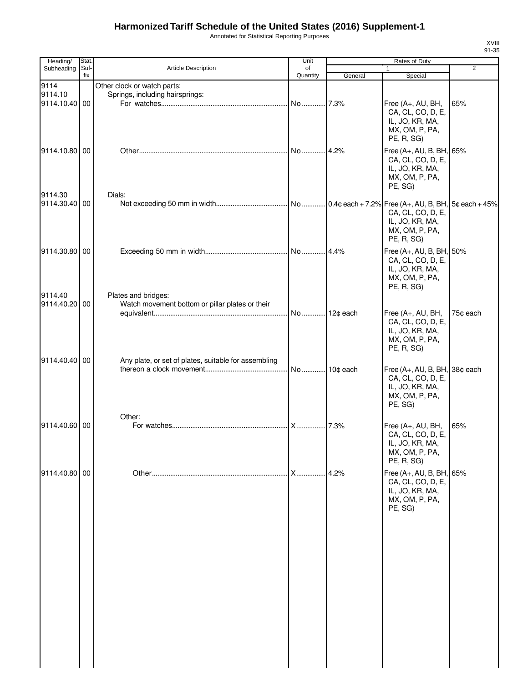Annotated for Statistical Reporting Purposes

| Heading/                         | Stat.       |                                                                | Unit           | Rates of Duty |                                                                                                      |                |
|----------------------------------|-------------|----------------------------------------------------------------|----------------|---------------|------------------------------------------------------------------------------------------------------|----------------|
| Subheading                       | Suf-<br>fix | Article Description                                            | of<br>Quantity | General       | 1<br>Special                                                                                         | $\overline{2}$ |
| 9114<br>9114.10<br>9114.10.40 00 |             | Other clock or watch parts:<br>Springs, including hairsprings: | No 7.3%        |               | Free (A+, AU, BH,<br>CA, CL, CO, D, E,                                                               | 65%            |
| 9114.10.80 00                    |             |                                                                |                |               | IL, JO, KR, MA,<br>MX, OM, P, PA,<br>PE, R, SG)<br>Free (A+, AU, B, BH, 65%                          |                |
|                                  |             |                                                                |                |               | CA, CL, CO, D, E,<br>IL, JO, KR, MA,<br>MX, OM, P, PA,<br>PE, SG)                                    |                |
| 9114.30<br>9114.30.40 00         |             | Dials:                                                         |                |               | CA, CL, CO, D, E,<br>IL, JO, KR, MA,<br>MX, OM, P, PA,<br>PE, R, SG)                                 |                |
| 9114.30.80 00<br>9114.40         |             | Plates and bridges:                                            |                |               | Free (A+, AU, B, BH, 50%<br>CA, CL, CO, D, E,<br>IL, JO, KR, MA,<br>MX, OM, P, PA,<br>PE, R, SG)     |                |
| 9114.40.20 00                    |             | Watch movement bottom or pillar plates or their                | No 12¢ each    |               | Free (A+, AU, BH,<br>CA, CL, CO, D, E,<br>IL, JO, KR, MA,<br>MX, OM, P, PA,<br>PE, R, SG)            | 75¢ each       |
| 9114.40.40 00                    |             | Any plate, or set of plates, suitable for assembling           | No 10¢ each    |               | Free $(A+, AU, B, BH, 38¢$ each<br>CA, CL, CO, D, E,<br>IL, JO, KR, MA,<br>MX, OM, P, PA,<br>PE, SG) |                |
| 9114.40.60 00                    |             | Other:                                                         | <b>X</b>       | .7.3%         | Free (A+, AU, BH,<br>CA, CL, CO, D, E,<br>IL, JO, KR, MA,<br>MX, OM, P, PA,<br>PE, R, SG)            | 65%            |
| 9114.40.80 00                    |             |                                                                | $X$            | 4.2%          | Free (A+, AU, B, BH, 65%<br>CA, CL, CO, D, E,<br>IL, JO, KR, MA,<br>MX, OM, P, PA,<br>PE, SG)        |                |
|                                  |             |                                                                |                |               |                                                                                                      |                |